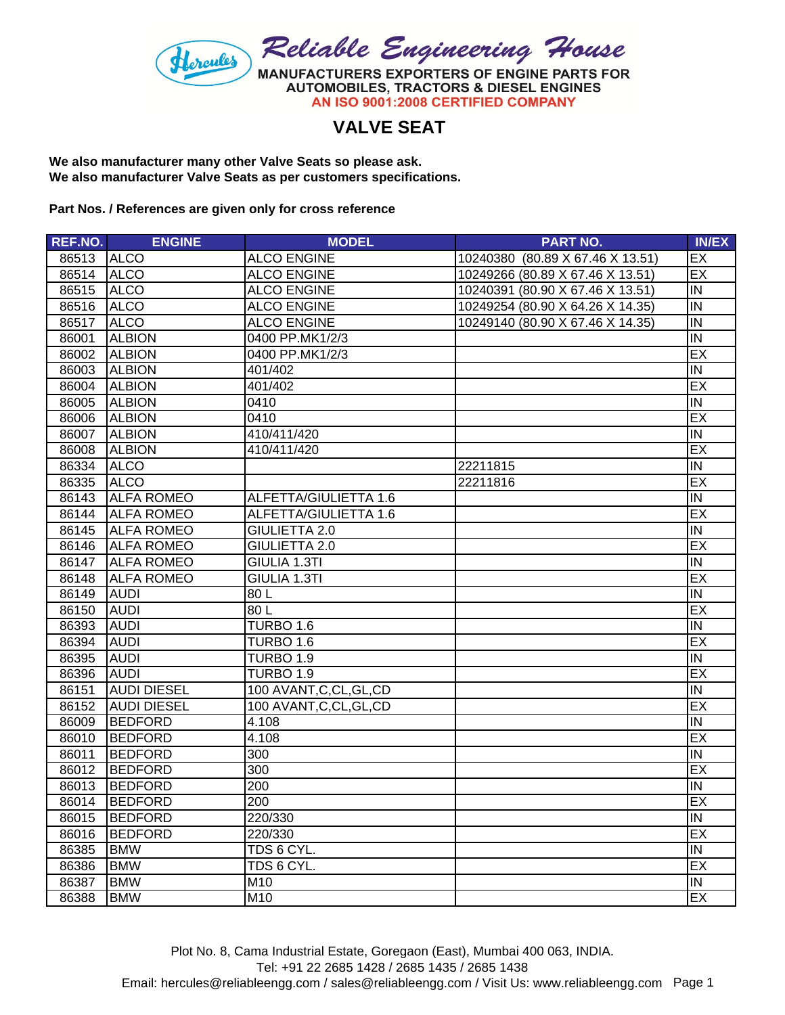

## **VALVE SEAT**

**We also manufacturer many other Valve Seats so please ask. We also manufacturer Valve Seats as per customers specifications.**

**Part Nos. / References are given only for cross reference**

| REF.NO. | <b>ENGINE</b>      | <b>MODEL</b>             | <b>PART NO.</b>                  | <b>IN/EX</b>   |
|---------|--------------------|--------------------------|----------------------------------|----------------|
| 86513   | <b>ALCO</b>        | <b>ALCO ENGINE</b>       | 10240380 (80.89 X 67.46 X 13.51) | EX             |
| 86514   | <b>ALCO</b>        | <b>ALCO ENGINE</b>       | 10249266 (80.89 X 67.46 X 13.51) | EX             |
| 86515   | <b>ALCO</b>        | <b>ALCO ENGINE</b>       | 10240391 (80.90 X 67.46 X 13.51) | IN             |
| 86516   | <b>ALCO</b>        | <b>ALCO ENGINE</b>       | 10249254 (80.90 X 64.26 X 14.35) | IN             |
| 86517   | <b>ALCO</b>        | <b>ALCO ENGINE</b>       | 10249140 (80.90 X 67.46 X 14.35) | $\overline{N}$ |
| 86001   | <b>ALBION</b>      | 0400 PP.MK1/2/3          |                                  | IN             |
| 86002   | <b>ALBION</b>      | 0400 PP.MK1/2/3          |                                  | EX             |
| 86003   | <b>ALBION</b>      | 401/402                  |                                  | $\overline{N}$ |
| 86004   | <b>ALBION</b>      | 401/402                  |                                  | EX             |
| 86005   | <b>ALBION</b>      | 0410                     |                                  | IN             |
| 86006   | <b>ALBION</b>      | 0410                     |                                  | EX             |
| 86007   | <b>ALBION</b>      | 410/411/420              |                                  | IN             |
| 86008   | <b>ALBION</b>      | 410/411/420              |                                  | EX             |
| 86334   | <b>ALCO</b>        |                          | 22211815                         | IN             |
| 86335   | <b>ALCO</b>        |                          | 22211816                         | EX             |
| 86143   | <b>ALFA ROMEO</b>  | ALFETTA/GIULIETTA 1.6    |                                  | IN             |
| 86144   | <b>ALFA ROMEO</b>  | ALFETTA/GIULIETTA 1.6    |                                  | EX             |
| 86145   | <b>ALFA ROMEO</b>  | <b>GIULIETTA 2.0</b>     |                                  | $\overline{N}$ |
| 86146   | <b>ALFA ROMEO</b>  | <b>GIULIETTA 2.0</b>     |                                  | EX             |
| 86147   | <b>ALFA ROMEO</b>  | GIULIA 1.3TI             |                                  | IN             |
| 86148   | <b>ALFA ROMEO</b>  | GIULIA 1.3TI             |                                  | EX             |
| 86149   | <b>AUDI</b>        | 80L                      |                                  | IN             |
| 86150   | <b>AUDI</b>        | 80L                      |                                  | EX             |
| 86393   | <b>AUDI</b>        | TURBO 1.6                |                                  | $\overline{N}$ |
| 86394   | <b>AUDI</b>        | <b>TURBO 1.6</b>         |                                  | EX             |
| 86395   | <b>AUDI</b>        | TURBO 1.9                |                                  | IN             |
| 86396   | <b>AUDI</b>        | TURBO 1.9                |                                  | EX             |
| 86151   | <b>AUDI DIESEL</b> | 100 AVANT, C, CL, GL, CD |                                  | IN             |
| 86152   | <b>AUDI DIESEL</b> | 100 AVANT, C, CL, GL, CD |                                  | EX             |
| 86009   | <b>BEDFORD</b>     | 4.108                    |                                  | $\overline{N}$ |
| 86010   | <b>BEDFORD</b>     | 4.108                    |                                  | EX             |
| 86011   | <b>BEDFORD</b>     | 300                      |                                  | IN             |
| 86012   | <b>BEDFORD</b>     | 300                      |                                  | EX             |
| 86013   | <b>BEDFORD</b>     | 200                      |                                  | IN             |
| 86014   | <b>BEDFORD</b>     | 200                      |                                  | EX             |
| 86015   | <b>BEDFORD</b>     | 220/330                  |                                  | IN             |
| 86016   | <b>BEDFORD</b>     | 220/330                  |                                  | EX             |
| 86385   | <b>BMW</b>         | TDS 6 CYL.               |                                  | IN             |
| 86386   | <b>BMW</b>         | TDS 6 CYL.               |                                  | EX             |
| 86387   | <b>BMW</b>         | M10                      |                                  | IN             |
| 86388   | <b>BMW</b>         | M10                      |                                  | EX             |

Plot No. 8, Cama Industrial Estate, Goregaon (East), Mumbai 400 063, INDIA. Tel: +91 22 2685 1428 / 2685 1435 / 2685 1438 Email: hercules@reliableengg.com / sales@reliableengg.com / Visit Us: www.reliableengg.com Page 1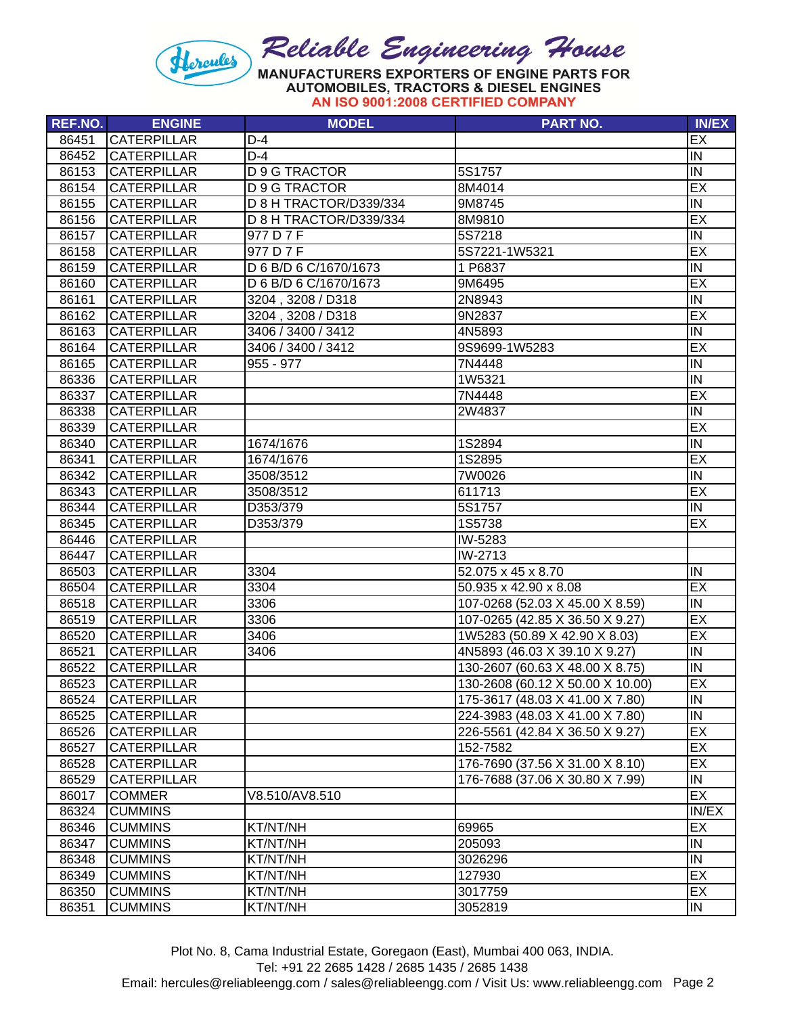

| REF.NO. | <b>ENGINE</b>      | <b>MODEL</b>           | <b>PART NO.</b>                  | <b>IN/EX</b> |
|---------|--------------------|------------------------|----------------------------------|--------------|
| 86451   | <b>CATERPILLAR</b> | $D-4$                  |                                  | EX           |
| 86452   | <b>CATERPILLAR</b> | $D-4$                  |                                  | IN           |
| 86153   | <b>CATERPILLAR</b> | <b>D 9 G TRACTOR</b>   | 5S1757                           | IN           |
| 86154   | <b>CATERPILLAR</b> | <b>D 9 G TRACTOR</b>   | 8M4014                           | EX           |
| 86155   | <b>CATERPILLAR</b> | D 8 H TRACTOR/D339/334 | 9M8745                           | IN           |
| 86156   | <b>CATERPILLAR</b> | D 8 H TRACTOR/D339/334 | 8M9810                           | EX           |
| 86157   | <b>CATERPILLAR</b> | 977 D 7 F              | 5S7218                           | IN           |
| 86158   | <b>CATERPILLAR</b> | 977 D 7 F              | 5S7221-1W5321                    | EX           |
| 86159   | <b>CATERPILLAR</b> | D 6 B/D 6 C/1670/1673  | 1 P6837                          | IN           |
| 86160   | <b>CATERPILLAR</b> | D 6 B/D 6 C/1670/1673  | 9M6495                           | EX           |
| 86161   | <b>CATERPILLAR</b> | 3204, 3208 / D318      | 2N8943                           | IN           |
| 86162   | <b>CATERPILLAR</b> | 3204, 3208 / D318      | 9N2837                           | EX           |
| 86163   | <b>CATERPILLAR</b> | 3406 / 3400 / 3412     | 4N5893                           | IN           |
| 86164   | <b>CATERPILLAR</b> | 3406 / 3400 / 3412     | 9S9699-1W5283                    | EX           |
| 86165   | <b>CATERPILLAR</b> | $955 - 977$            | 7N4448                           | IN           |
| 86336   | <b>CATERPILLAR</b> |                        | 1W5321                           | IN           |
| 86337   | <b>CATERPILLAR</b> |                        | 7N4448                           | EX           |
| 86338   | <b>CATERPILLAR</b> |                        | 2W4837                           | IN           |
| 86339   | <b>CATERPILLAR</b> |                        |                                  | EX           |
| 86340   | <b>CATERPILLAR</b> | 1674/1676              | 1S2894                           | IN           |
| 86341   | <b>CATERPILLAR</b> | 1674/1676              | 1S2895                           | EX           |
| 86342   | <b>CATERPILLAR</b> | 3508/3512              | 7W0026                           | IN           |
| 86343   | <b>CATERPILLAR</b> | 3508/3512              | 611713                           | EX           |
| 86344   | <b>CATERPILLAR</b> | D353/379               | 5S1757                           | IN           |
| 86345   | <b>CATERPILLAR</b> | D353/379               | 1S5738                           | EX           |
| 86446   | <b>CATERPILLAR</b> |                        | IW-5283                          |              |
| 86447   | <b>CATERPILLAR</b> |                        | $\overline{\text{IW-2713}}$      |              |
| 86503   | <b>CATERPILLAR</b> | 3304                   | 52.075 x 45 x 8.70               | IN           |
| 86504   | <b>CATERPILLAR</b> | 3304                   | 50.935 x 42.90 x 8.08            | EX           |
| 86518   | <b>CATERPILLAR</b> | 3306                   | 107-0268 (52.03 X 45.00 X 8.59)  | IN           |
| 86519   | <b>CATERPILLAR</b> | 3306                   | 107-0265 (42.85 X 36.50 X 9.27)  | EX           |
| 86520   | <b>CATERPILLAR</b> | 3406                   | 1W5283 (50.89 X 42.90 X 8.03)    | EX           |
| 86521   | <b>CATERPILLAR</b> | 3406                   | 4N5893 (46.03 X 39.10 X 9.27)    | IN           |
| 86522   | <b>CATERPILLAR</b> |                        | 130-2607 (60.63 X 48.00 X 8.75)  | IN           |
| 86523   | <b>CATERPILLAR</b> |                        | 130-2608 (60.12 X 50.00 X 10.00) | EX           |
| 86524   | <b>CATERPILLAR</b> |                        | 175-3617 (48.03 X 41.00 X 7.80)  | IN.          |
| 86525   | <b>CATERPILLAR</b> |                        | 224-3983 (48.03 X 41.00 X 7.80)  | IN           |
| 86526   | <b>CATERPILLAR</b> |                        | 226-5561 (42.84 X 36.50 X 9.27)  | EX           |
| 86527   | <b>CATERPILLAR</b> |                        | 152-7582                         | EX           |
| 86528   | <b>CATERPILLAR</b> |                        | 176-7690 (37.56 X 31.00 X 8.10)  | EX           |
| 86529   | <b>CATERPILLAR</b> |                        | 176-7688 (37.06 X 30.80 X 7.99)  | IN           |
| 86017   | <b>COMMER</b>      | V8.510/AV8.510         |                                  | EX           |
| 86324   | <b>CUMMINS</b>     |                        |                                  | IN/EX        |
| 86346   | <b>CUMMINS</b>     | KT/NT/NH               | 69965                            | EX           |
| 86347   | <b>CUMMINS</b>     | KT/NT/NH               | 205093                           | IN           |
| 86348   | <b>CUMMINS</b>     | KT/NT/NH               | 3026296                          | IN           |
| 86349   | <b>CUMMINS</b>     | KT/NT/NH               | 127930                           | EX           |
| 86350   | <b>CUMMINS</b>     | KT/NT/NH               | 3017759                          | EX           |
| 86351   | <b>CUMMINS</b>     | KT/NT/NH               | 3052819                          | IN           |

Plot No. 8, Cama Industrial Estate, Goregaon (East), Mumbai 400 063, INDIA.

Tel: +91 22 2685 1428 / 2685 1435 / 2685 1438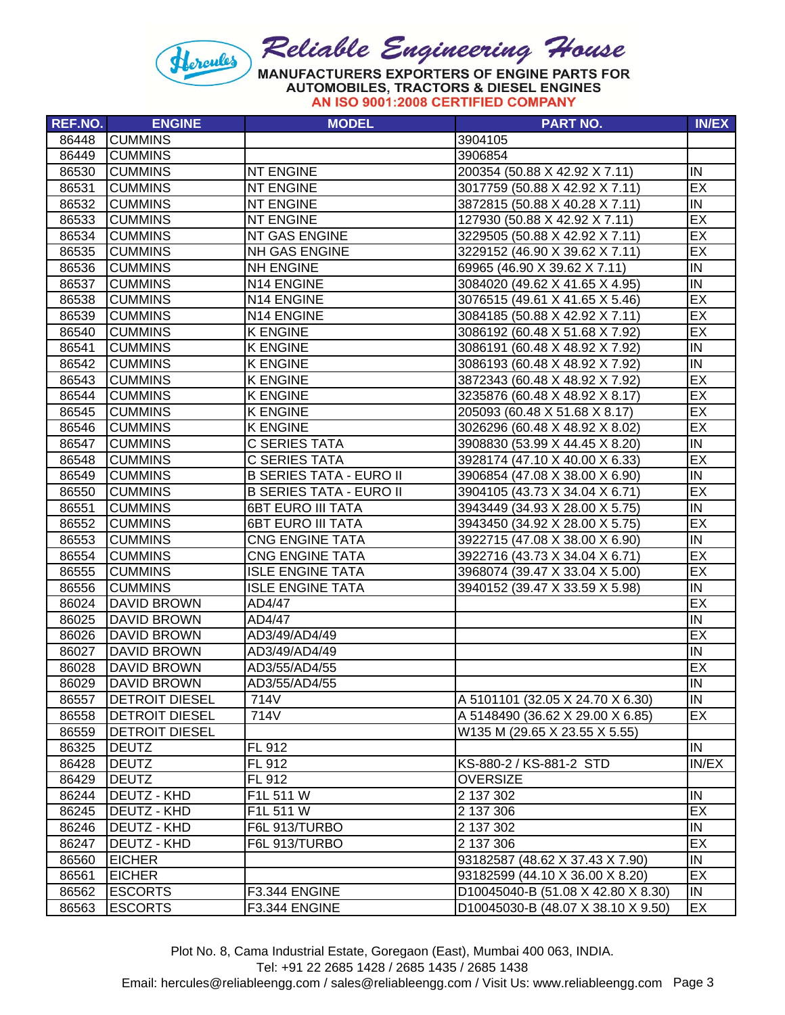

| <b>REF.NO.</b> | <b>ENGINE</b>         | <b>MODEL</b>                   | <b>PART NO.</b>                    | <b>IN/EX</b> |
|----------------|-----------------------|--------------------------------|------------------------------------|--------------|
| 86448          | <b>CUMMINS</b>        |                                | 3904105                            |              |
| 86449          | <b>CUMMINS</b>        |                                | 3906854                            |              |
| 86530          | <b>CUMMINS</b>        | <b>NT ENGINE</b>               | 200354 (50.88 X 42.92 X 7.11)      | IN           |
| 86531          | <b>CUMMINS</b>        | <b>NT ENGINE</b>               | 3017759 (50.88 X 42.92 X 7.11)     | EX           |
| 86532          | <b>CUMMINS</b>        | <b>NT ENGINE</b>               | 3872815 (50.88 X 40.28 X 7.11)     | IN           |
| 86533          | <b>CUMMINS</b>        | <b>NT ENGINE</b>               | 127930 (50.88 X 42.92 X 7.11)      | EX           |
| 86534          | <b>CUMMINS</b>        | NT GAS ENGINE                  | 3229505 (50.88 X 42.92 X 7.11)     | EX           |
| 86535          | <b>CUMMINS</b>        | NH GAS ENGINE                  | 3229152 (46.90 X 39.62 X 7.11)     | EX           |
| 86536          | <b>CUMMINS</b>        | <b>NH ENGINE</b>               | 69965 (46.90 X 39.62 X 7.11)       | IN           |
| 86537          | <b>CUMMINS</b>        | N14 ENGINE                     | 3084020 (49.62 X 41.65 X 4.95)     | IN           |
| 86538          | <b>CUMMINS</b>        | N14 ENGINE                     | 3076515 (49.61 X 41.65 X 5.46)     | EX           |
| 86539          | <b>CUMMINS</b>        | N14 ENGINE                     | 3084185 (50.88 X 42.92 X 7.11)     | EX           |
| 86540          | <b>CUMMINS</b>        | <b>K ENGINE</b>                | 3086192 (60.48 X 51.68 X 7.92)     | EX           |
| 86541          | <b>CUMMINS</b>        | <b>K ENGINE</b>                | 3086191 (60.48 X 48.92 X 7.92)     | IN           |
| 86542          | <b>CUMMINS</b>        | <b>K ENGINE</b>                | 3086193 (60.48 X 48.92 X 7.92)     | IN           |
| 86543          | <b>CUMMINS</b>        | <b>K ENGINE</b>                | 3872343 (60.48 X 48.92 X 7.92)     | EX           |
| 86544          | <b>CUMMINS</b>        | <b>K ENGINE</b>                | 3235876 (60.48 X 48.92 X 8.17)     | EX           |
| 86545          | <b>CUMMINS</b>        | <b>K ENGINE</b>                | 205093 (60.48 X 51.68 X 8.17)      | EX           |
| 86546          | <b>CUMMINS</b>        | <b>K ENGINE</b>                | 3026296 (60.48 X 48.92 X 8.02)     | EX           |
| 86547          | <b>CUMMINS</b>        | <b>C SERIES TATA</b>           | 3908830 (53.99 X 44.45 X 8.20)     | IN           |
| 86548          | <b>CUMMINS</b>        | <b>C SERIES TATA</b>           | 3928174 (47.10 X 40.00 X 6.33)     | EX           |
| 86549          | <b>CUMMINS</b>        | <b>B SERIES TATA - EURO II</b> | 3906854 (47.08 X 38.00 X 6.90)     | IN           |
| 86550          | <b>CUMMINS</b>        | <b>B SERIES TATA - EURO II</b> | 3904105 (43.73 X 34.04 X 6.71)     | EX           |
| 86551          | <b>CUMMINS</b>        | <b>6BT EURO III TATA</b>       | 3943449 (34.93 X 28.00 X 5.75)     | IN           |
| 86552          | <b>CUMMINS</b>        | <b>6BT EURO III TATA</b>       | 3943450 (34.92 X 28.00 X 5.75)     | EX           |
| 86553          | <b>CUMMINS</b>        | <b>CNG ENGINE TATA</b>         | 3922715 (47.08 X 38.00 X 6.90)     | IN           |
| 86554          | <b>CUMMINS</b>        | <b>CNG ENGINE TATA</b>         | 3922716 (43.73 X 34.04 X 6.71)     | EX           |
| 86555          | <b>CUMMINS</b>        | <b>ISLE ENGINE TATA</b>        | 3968074 (39.47 X 33.04 X 5.00)     | EX           |
| 86556          | <b>CUMMINS</b>        | <b>ISLE ENGINE TATA</b>        | 3940152 (39.47 X 33.59 X 5.98)     | IN           |
| 86024          | <b>DAVID BROWN</b>    | AD4/47                         |                                    | EX           |
| 86025          | <b>DAVID BROWN</b>    | AD4/47                         |                                    | IN           |
| 86026          | <b>DAVID BROWN</b>    | AD3/49/AD4/49                  |                                    | EX           |
| 86027          | <b>DAVID BROWN</b>    | AD3/49/AD4/49                  |                                    | IN           |
| 86028          | <b>DAVID BROWN</b>    | AD3/55/AD4/55                  |                                    | EX           |
| 86029          | <b>DAVID BROWN</b>    | AD3/55/AD4/55                  |                                    | IN           |
| 86557          | <b>DETROIT DIESEL</b> | 714V                           | A 5101101 (32.05 X 24.70 X 6.30)   | IN           |
| 86558          | <b>DETROIT DIESEL</b> | 714V                           | A 5148490 (36.62 X 29.00 X 6.85)   | EX           |
| 86559          | <b>DETROIT DIESEL</b> |                                | W135 M (29.65 X 23.55 X 5.55)      |              |
| 86325          | <b>DEUTZ</b>          | FL 912                         |                                    | IN           |
| 86428          | <b>DEUTZ</b>          | FL 912                         | KS-880-2 / KS-881-2 STD            | IN/EX        |
| 86429          | <b>DEUTZ</b>          | FL 912                         | <b>OVERSIZE</b>                    |              |
| 86244          | <b>DEUTZ - KHD</b>    | F1L 511 W                      | 2 137 302                          | IN           |
| 86245          | DEUTZ - KHD           | F1L 511 W                      | 2 137 306                          | EX           |
| 86246          | <b>DEUTZ - KHD</b>    | F6L 913/TURBO                  | 2 137 302                          | IN           |
| 86247          | DEUTZ - KHD           | F6L 913/TURBO                  | 2 137 306                          | EX           |
| 86560          | <b>EICHER</b>         |                                | 93182587 (48.62 X 37.43 X 7.90)    | IN           |
| 86561          | <b>EICHER</b>         |                                | 93182599 (44.10 X 36.00 X 8.20)    | <b>EX</b>    |
| 86562          | <b>ESCORTS</b>        | F3.344 ENGINE                  | D10045040-B (51.08 X 42.80 X 8.30) | IN           |
| 86563          | <b>ESCORTS</b>        | F3.344 ENGINE                  | D10045030-B (48.07 X 38.10 X 9.50) | EX           |

Plot No. 8, Cama Industrial Estate, Goregaon (East), Mumbai 400 063, INDIA.

Tel: +91 22 2685 1428 / 2685 1435 / 2685 1438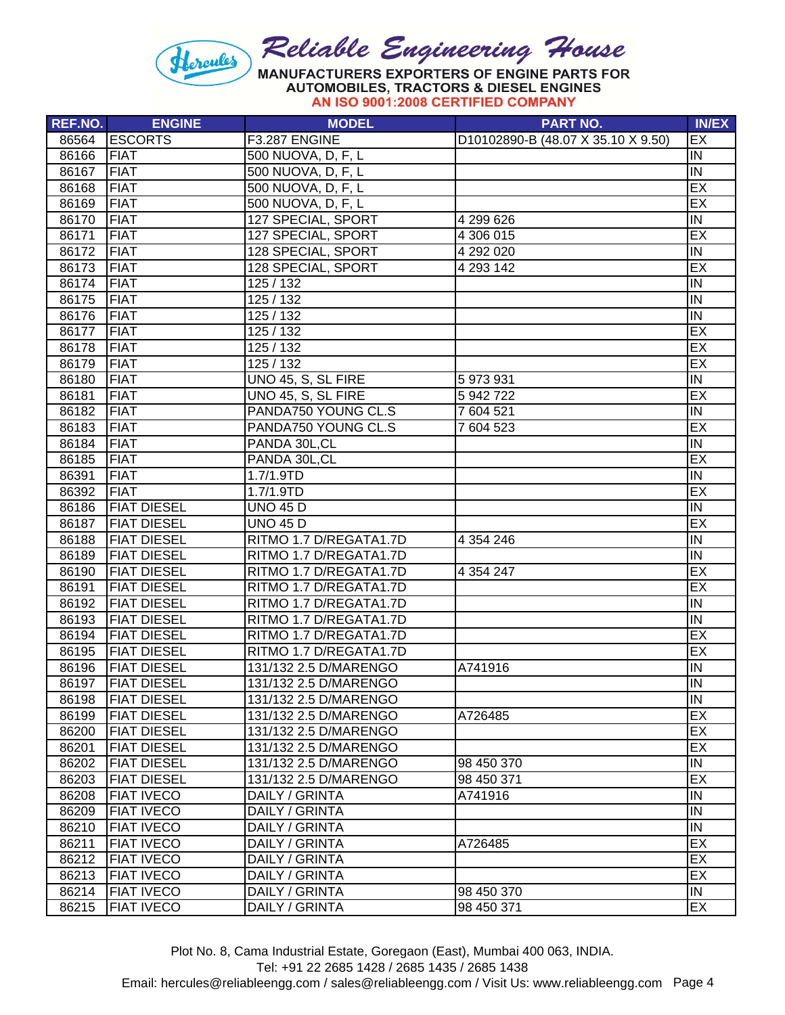

| REF.NO. | <b>ENGINE</b>      | <b>MODEL</b>           | <b>PART NO.</b>                    | <b>IN/EX</b>            |
|---------|--------------------|------------------------|------------------------------------|-------------------------|
| 86564   | <b>ESCORTS</b>     | F3.287 ENGINE          | D10102890-B (48.07 X 35.10 X 9.50) | EX                      |
| 86166   | FIAT               | 500 NUOVA, D, F, L     |                                    | IN                      |
| 86167   | <b>FIAT</b>        | 500 NUOVA, D, F, L     |                                    | IN                      |
| 86168   | <b>FIAT</b>        | 500 NUOVA, D, F, L     |                                    | EX                      |
| 86169   | <b>FIAT</b>        | 500 NUOVA, D, F, L     |                                    | EX                      |
| 86170   | <b>FIAT</b>        | 127 SPECIAL, SPORT     | 4 299 626                          | IN                      |
| 86171   | <b>FIAT</b>        | 127 SPECIAL, SPORT     | 4 306 015                          | EX                      |
| 86172   | <b>FIAT</b>        | 128 SPECIAL, SPORT     | 4 292 020                          | $\overline{N}$          |
| 86173   | <b>FIAT</b>        | 128 SPECIAL, SPORT     | 4 293 142                          | EX                      |
| 86174   | <b>FIAT</b>        | $\overline{125/132}$   |                                    | IN                      |
| 86175   | <b>FIAT</b>        | 125 / 132              |                                    | $\overline{N}$          |
| 86176   | <b>FIAT</b>        | 125 / 132              |                                    | IN                      |
| 86177   | <b>FIAT</b>        | 125 / 132              |                                    | EX                      |
| 86178   | <b>FIAT</b>        | 125 / 132              |                                    | EX                      |
| 86179   | <b>FIAT</b>        | 125 / 132              |                                    | EX                      |
| 86180   | <b>FIAT</b>        | UNO 45, S, SL FIRE     | 5 973 931                          | IN                      |
| 86181   | <b>FIAT</b>        | UNO 45, S, SL FIRE     | 5 942 722                          | EX                      |
| 86182   | <b>FIAT</b>        | PANDA750 YOUNG CL.S    | 7 604 521                          | IN                      |
| 86183   | <b>FIAT</b>        | PANDA750 YOUNG CL.S    | 7 604 523                          | EX                      |
| 86184   | <b>FIAT</b>        | PANDA 30L, CL          |                                    | IN                      |
| 86185   | <b>FIAT</b>        | PANDA 30L, CL          |                                    | EX                      |
| 86391   | <b>FIAT</b>        | 1.7/1.9TD              |                                    | IN                      |
| 86392   | <b>FIAT</b>        | 1.7/1.9TD              |                                    | EX                      |
| 86186   | <b>FIAT DIESEL</b> | <b>UNO 45 D</b>        |                                    | IN                      |
| 86187   | <b>FIAT DIESEL</b> | <b>UNO 45 D</b>        |                                    | EX                      |
| 86188   | <b>FIAT DIESEL</b> | RITMO 1.7 D/REGATA1.7D | 4 3 5 4 2 4 6                      | IN                      |
| 86189   | <b>FIAT DIESEL</b> | RITMO 1.7 D/REGATA1.7D |                                    | $\overline{N}$          |
| 86190   | <b>FIAT DIESEL</b> | RITMO 1.7 D/REGATA1.7D | 4 3 5 4 2 4 7                      | EX                      |
| 86191   | <b>FIAT DIESEL</b> | RITMO 1.7 D/REGATA1.7D |                                    | EX                      |
| 86192   | <b>FIAT DIESEL</b> | RITMO 1.7 D/REGATA1.7D |                                    | IN                      |
| 86193   | <b>FIAT DIESEL</b> | RITMO 1.7 D/REGATA1.7D |                                    | IN                      |
| 86194   | <b>FIAT DIESEL</b> | RITMO 1.7 D/REGATA1.7D |                                    | EX                      |
| 86195   | <b>FIAT DIESEL</b> | RITMO 1.7 D/REGATA1.7D |                                    | EX                      |
| 86196   | <b>FIAT DIESEL</b> | 131/132 2.5 D/MARENGO  | A741916                            | IN                      |
| 86197   | <b>FIAT DIESEL</b> | 131/132 2.5 D/MARENGO  |                                    | $\overline{\mathsf{N}}$ |
| 86198   | <b>FIAT DIESEL</b> | 131/132 2.5 D/MARENGO  |                                    | IN                      |
| 86199   | <b>FIAT DIESEL</b> | 131/132 2.5 D/MARENGO  | A726485                            | EX                      |
| 86200   | <b>FIAT DIESEL</b> | 131/132 2.5 D/MARENGO  |                                    | EX                      |
| 86201   | <b>FIAT DIESEL</b> | 131/132 2.5 D/MARENGO  |                                    | EX                      |
| 86202   | <b>FIAT DIESEL</b> | 131/132 2.5 D/MARENGO  | 98 450 370                         | IN                      |
| 86203   | <b>FIAT DIESEL</b> | 131/132 2.5 D/MARENGO  | 98 450 371                         | EX                      |
| 86208   | <b>FIAT IVECO</b>  | DAILY / GRINTA         | A741916                            | IN                      |
| 86209   | <b>FIAT IVECO</b>  | DAILY / GRINTA         |                                    | IN                      |
| 86210   | <b>FIAT IVECO</b>  | DAILY / GRINTA         |                                    | IN                      |
| 86211   | <b>FIAT IVECO</b>  | DAILY / GRINTA         | A726485                            | EX                      |
| 86212   | <b>FIAT IVECO</b>  | DAILY / GRINTA         |                                    | EX                      |
| 86213   | <b>FIAT IVECO</b>  | DAILY / GRINTA         |                                    | EX                      |
| 86214   | <b>FIAT IVECO</b>  | DAILY / GRINTA         | 98 450 370                         | IN                      |
| 86215   | <b>FIAT IVECO</b>  | DAILY / GRINTA         | 98 450 371                         | EX                      |

Tel: +91 22 2685 1428 / 2685 1435 / 2685 1438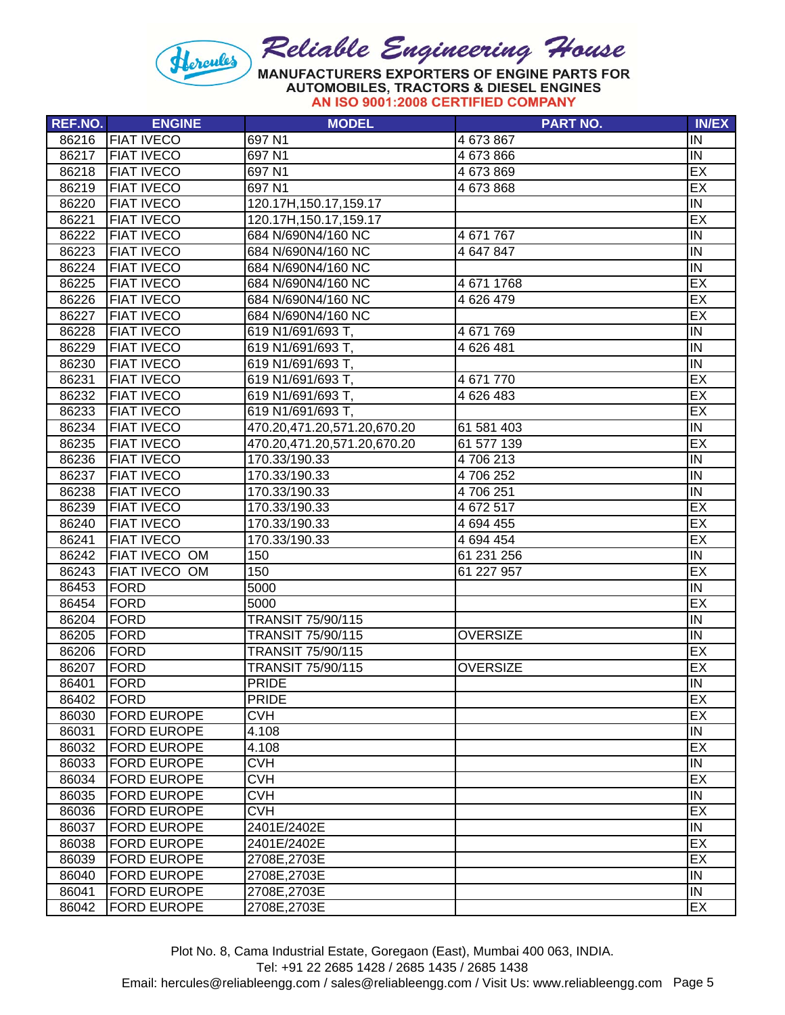

| REF.NO. | <b>ENGINE</b>      | <b>MODEL</b>                | <b>PART NO.</b> | <b>IN/EX</b>   |
|---------|--------------------|-----------------------------|-----------------|----------------|
| 86216   | <b>FIAT IVECO</b>  | 697 N1                      | 4 673 867       | IN             |
| 86217   | <b>FIAT IVECO</b>  | 697 N1                      | 4 673 866       | IN             |
| 86218   | <b>FIAT IVECO</b>  | 697 N1                      | 4 673 869       | EX             |
| 86219   | <b>FIAT IVECO</b>  | 697 N1                      | 4 673 868       | EX             |
| 86220   | <b>FIAT IVECO</b>  | 120.17H, 150.17, 159.17     |                 | IN             |
| 86221   | <b>FIAT IVECO</b>  | 120.17H, 150.17, 159.17     |                 | EX             |
| 86222   | <b>FIAT IVECO</b>  | 684 N/690N4/160 NC          | 4 671 767       | IN             |
| 86223   | <b>FIAT IVECO</b>  | 684 N/690N4/160 NC          | 4 647 847       | IN             |
| 86224   | <b>FIAT IVECO</b>  | 684 N/690N4/160 NC          |                 | IN             |
| 86225   | <b>FIAT IVECO</b>  | 684 N/690N4/160 NC          | 4 671 1768      | EX             |
| 86226   | <b>FIAT IVECO</b>  | 684 N/690N4/160 NC          | 4 626 479       | EX             |
| 86227   | <b>FIAT IVECO</b>  | 684 N/690N4/160 NC          |                 | EX             |
| 86228   | <b>FIAT IVECO</b>  | 619 N1/691/693 T,           | 4 671 769       | IN             |
| 86229   | <b>FIAT IVECO</b>  | 619 N1/691/693 T,           | 4 626 481       | $\overline{N}$ |
| 86230   | <b>FIAT IVECO</b>  | 619 N1/691/693 T,           |                 | IN             |
| 86231   | <b>FIAT IVECO</b>  | 619 N1/691/693 T,           | 4 671 770       | EX             |
| 86232   | <b>FIAT IVECO</b>  | 619 N1/691/693 T,           | 4 626 483       | EX             |
| 86233   | <b>FIAT IVECO</b>  | 619 N1/691/693 T,           |                 | EX             |
| 86234   | <b>FIAT IVECO</b>  | 470.20,471.20,571.20,670.20 | 61 581 403      | IN             |
| 86235   | <b>FIAT IVECO</b>  | 470.20,471.20,571.20,670.20 | 61 577 139      | EX             |
| 86236   | <b>FIAT IVECO</b>  | 170.33/190.33               | 4706213         | IN             |
| 86237   | <b>FIAT IVECO</b>  | 170.33/190.33               | 4706252         | IN             |
| 86238   | <b>FIAT IVECO</b>  | 170.33/190.33               | 4706251         | IN             |
| 86239   | <b>FIAT IVECO</b>  | 170.33/190.33               | 4 672 517       | EX             |
| 86240   | <b>FIAT IVECO</b>  | 170.33/190.33               | 4 694 455       | EX             |
| 86241   | <b>FIAT IVECO</b>  | 170.33/190.33               | 4 694 454       | EX             |
| 86242   | FIAT IVECO OM      | 150                         | 61 231 256      | IN             |
| 86243   | FIAT IVECO OM      | 150                         | 61 227 957      | EX             |
| 86453   | <b>FORD</b>        | 5000                        |                 | IN             |
| 86454   | FORD               | 5000                        |                 | EX             |
| 86204   | <b>FORD</b>        | TRANSIT 75/90/115           |                 | IN             |
| 86205   | FORD               | TRANSIT 75/90/115           | <b>OVERSIZE</b> | IN             |
| 86206   | FORD               | TRANSIT 75/90/115           |                 | EX             |
| 86207   | FORD               | TRANSIT 75/90/115           | <b>OVERSIZE</b> | EX             |
| 86401   | FORD               | <b>PRIDE</b>                |                 | IN             |
| 86402   | FORD               | PRIDE                       |                 | EX             |
| 86030   | <b>FORD EUROPE</b> | <b>CVH</b>                  |                 | EX             |
| 86031   | <b>FORD EUROPE</b> | 4.108                       |                 | IN             |
| 86032   | <b>FORD EUROPE</b> | 4.108                       |                 | EX             |
| 86033   | <b>FORD EUROPE</b> | <b>CVH</b>                  |                 | IN             |
| 86034   | <b>FORD EUROPE</b> | <b>CVH</b>                  |                 | EX             |
| 86035   | <b>FORD EUROPE</b> | <b>CVH</b>                  |                 | IN             |
| 86036   | <b>FORD EUROPE</b> | <b>CVH</b>                  |                 | EX             |
| 86037   | <b>FORD EUROPE</b> | 2401E/2402E                 |                 | IN             |
| 86038   | <b>FORD EUROPE</b> | 2401E/2402E                 |                 | EX             |
| 86039   | <b>FORD EUROPE</b> | 2708E, 2703E                |                 | EX             |
| 86040   | <b>FORD EUROPE</b> | 2708E, 2703E                |                 | IN             |
| 86041   | <b>FORD EUROPE</b> | 2708E, 2703E                |                 | IN             |
| 86042   | <b>FORD EUROPE</b> | 2708E,2703E                 |                 | EX             |

Tel: +91 22 2685 1428 / 2685 1435 / 2685 1438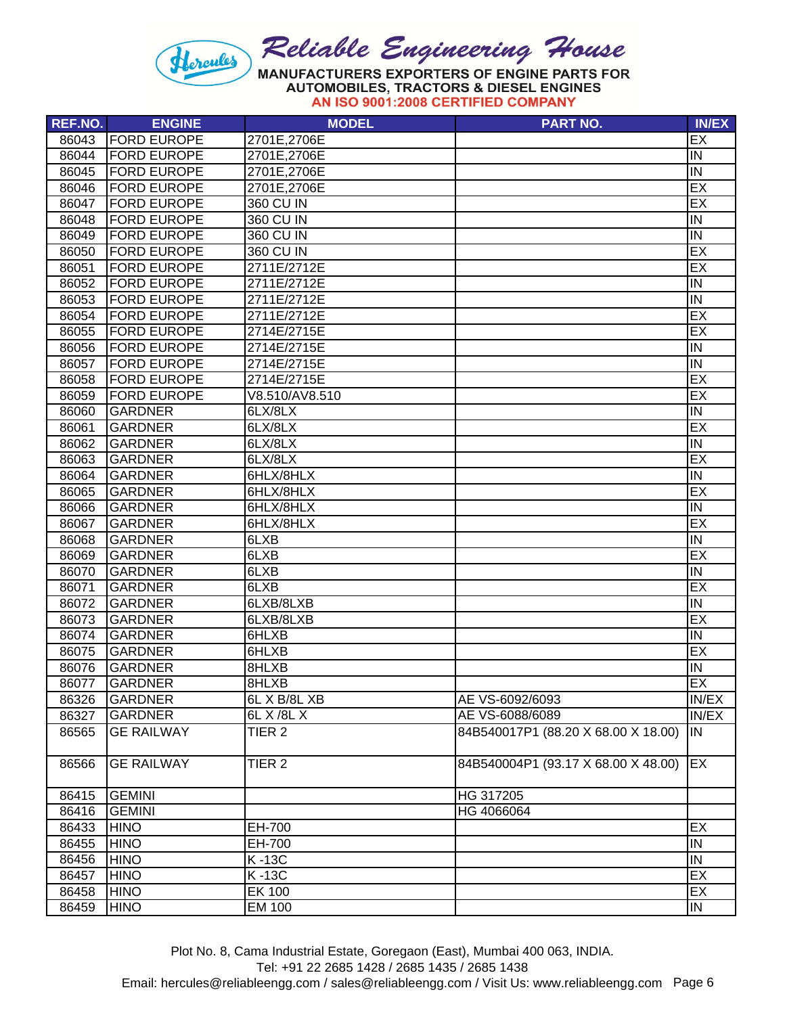

| <b>REF.NO.</b> | <b>ENGINE</b>      | <b>MODEL</b>      | <b>PART NO.</b>                     | <b>IN/EX</b>            |
|----------------|--------------------|-------------------|-------------------------------------|-------------------------|
| 86043          | <b>FORD EUROPE</b> | 2701E,2706E       |                                     | EX                      |
| 86044          | <b>FORD EUROPE</b> | 2701E,2706E       |                                     | IN                      |
| 86045          | <b>FORD EUROPE</b> | 2701E,2706E       |                                     | IN                      |
| 86046          | <b>FORD EUROPE</b> | 2701E,2706E       |                                     | EX                      |
| 86047          | <b>FORD EUROPE</b> | 360 CU IN         |                                     | EX                      |
| 86048          | <b>FORD EUROPE</b> | 360 CU IN         |                                     | IN                      |
| 86049          | <b>FORD EUROPE</b> | 360 CU IN         |                                     | $\overline{\mathsf{N}}$ |
| 86050          | <b>FORD EUROPE</b> | 360 CU IN         |                                     | EX                      |
| 86051          | <b>FORD EUROPE</b> | 2711E/2712E       |                                     | EX                      |
| 86052          | <b>FORD EUROPE</b> | 2711E/2712E       |                                     | IN                      |
| 86053          | <b>FORD EUROPE</b> | 2711E/2712E       |                                     | $\overline{N}$          |
| 86054          | <b>FORD EUROPE</b> | 2711E/2712E       |                                     | EX                      |
| 86055          | <b>FORD EUROPE</b> | 2714E/2715E       |                                     | EX                      |
| 86056          | <b>FORD EUROPE</b> | 2714E/2715E       |                                     | IN                      |
| 86057          | <b>FORD EUROPE</b> | 2714E/2715E       |                                     | IN                      |
| 86058          | <b>FORD EUROPE</b> | 2714E/2715E       |                                     | EX                      |
| 86059          | <b>FORD EUROPE</b> | V8.510/AV8.510    |                                     | EX                      |
| 86060          | <b>GARDNER</b>     | 6LX/8LX           |                                     | IN                      |
| 86061          | <b>GARDNER</b>     | 6LX/8LX           |                                     | EX                      |
| 86062          | <b>GARDNER</b>     | 6LX/8LX           |                                     | IN                      |
| 86063          | <b>GARDNER</b>     | 6LX/8LX           |                                     | EX                      |
| 86064          | <b>GARDNER</b>     | 6HLX/8HLX         |                                     | IN                      |
| 86065          | <b>GARDNER</b>     | 6HLX/8HLX         |                                     | EX                      |
| 86066          | <b>GARDNER</b>     | 6HLX/8HLX         |                                     | IN                      |
| 86067          | <b>GARDNER</b>     | 6HLX/8HLX         |                                     | EX                      |
| 86068          | <b>GARDNER</b>     | 6LXB              |                                     | Σ                       |
| 86069          | <b>GARDNER</b>     | 6LXB              |                                     | EX                      |
| 86070          | <b>GARDNER</b>     | 6LXB              |                                     | IN                      |
| 86071          | <b>GARDNER</b>     | 6LXB              |                                     | EX                      |
| 86072          | <b>GARDNER</b>     | 6LXB/8LXB         |                                     | IN                      |
| 86073          | <b>GARDNER</b>     | 6LXB/8LXB         |                                     | EX                      |
| 86074          | <b>GARDNER</b>     | 6HLXB             |                                     | IN                      |
| 86075          | <b>GARDNER</b>     | 6HLXB             |                                     | EX                      |
| 86076          | <b>GARDNER</b>     | 8HLXB             |                                     | IN                      |
| 86077          | <b>GARDNER</b>     | 8HLXB             |                                     | EX                      |
| 86326          | GARDNER            | 6L X B/8L XB      | AE VS-6092/6093                     | IN/EX                   |
| 86327          | <b>GARDNER</b>     | 6L X /8L X        | AE VS-6088/6089                     | IN/EX                   |
| 86565          | <b>GE RAILWAY</b>  | TIER <sub>2</sub> | 84B540017P1 (88.20 X 68.00 X 18.00) | IN.                     |
|                |                    |                   |                                     |                         |
| 86566          | <b>GE RAILWAY</b>  | TIER <sub>2</sub> | 84B540004P1 (93.17 X 68.00 X 48.00) | <b>EX</b>               |
| 86415          | <b>GEMINI</b>      |                   | HG 317205                           |                         |
| 86416          | <b>GEMINI</b>      |                   | HG 4066064                          |                         |
| 86433          | <b>HINO</b>        | EH-700            |                                     | EX                      |
| 86455          | <b>HINO</b>        | EH-700            |                                     | IN                      |
| 86456          | <b>HINO</b>        | K-13C             |                                     | IN                      |
| 86457          | <b>HINO</b>        | K-13C             |                                     | EX                      |
| 86458          | <b>HINO</b>        | <b>EK 100</b>     |                                     | EX                      |
| 86459          | <b>HINO</b>        | EM 100            |                                     | IN                      |

Tel: +91 22 2685 1428 / 2685 1435 / 2685 1438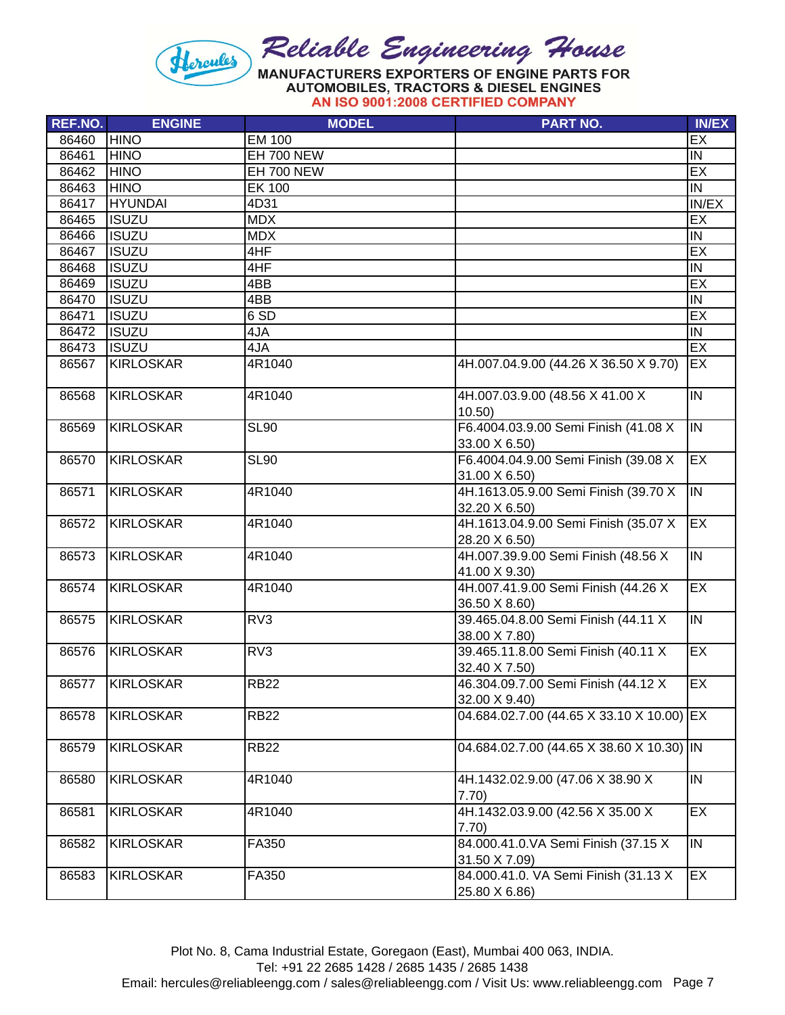

| REF.NO. | <b>ENGINE</b>    | <b>MODEL</b>    | <b>PART NO.</b>                                       | <b>IN/EX</b>            |
|---------|------------------|-----------------|-------------------------------------------------------|-------------------------|
| 86460   | <b>HINO</b>      | <b>EM 100</b>   |                                                       | EX                      |
| 86461   | <b>HINO</b>      | EH 700 NEW      |                                                       | IN                      |
| 86462   | <b>HINO</b>      | EH 700 NEW      |                                                       | EX                      |
| 86463   | <b>HINO</b>      | <b>EK 100</b>   |                                                       | Σ                       |
| 86417   | <b>HYUNDAI</b>   | 4D31            |                                                       | IN/EX                   |
| 86465   | <b>ISUZU</b>     | <b>MDX</b>      |                                                       | EX                      |
| 86466   | <b>ISUZU</b>     | <b>MDX</b>      |                                                       | Σ                       |
| 86467   | <b>ISUZU</b>     | 4HF             |                                                       | EX                      |
| 86468   | <b>ISUZU</b>     | 4HF             |                                                       | <b>IN</b>               |
| 86469   | <b>ISUZU</b>     | 4BB             |                                                       | EX                      |
|         |                  |                 |                                                       |                         |
| 86470   | <b>ISUZU</b>     | 4BB             |                                                       | <b>IN</b>               |
| 86471   | <b>ISUZU</b>     | 6 <sub>SD</sub> |                                                       | EX                      |
| 86472   | <b>ISUZU</b>     | 4JA             |                                                       | IN                      |
| 86473   | <b>ISUZU</b>     | 4JA             |                                                       | EX                      |
| 86567   | <b>KIRLOSKAR</b> | 4R1040          | 4H.007.04.9.00 (44.26 X 36.50 X 9.70)                 | EX                      |
| 86568   | <b>KIRLOSKAR</b> | 4R1040          | 4H.007.03.9.00 (48.56 X 41.00 X<br>10.50              | $\overline{\mathsf{N}}$ |
| 86569   | <b>KIRLOSKAR</b> | <b>SL90</b>     | F6.4004.03.9.00 Semi Finish (41.08 X<br>33.00 X 6.50) | IN                      |
| 86570   | <b>KIRLOSKAR</b> | <b>SL90</b>     | F6.4004.04.9.00 Semi Finish (39.08 X<br>31.00 X 6.50) | EX                      |
| 86571   | <b>KIRLOSKAR</b> | 4R1040          | 4H.1613.05.9.00 Semi Finish (39.70 X<br>32.20 X 6.50) | $\overline{N}$          |
| 86572   | <b>KIRLOSKAR</b> | 4R1040          | 4H.1613.04.9.00 Semi Finish (35.07 X<br>28.20 X 6.50) | EX                      |
| 86573   | <b>KIRLOSKAR</b> | 4R1040          | 4H.007.39.9.00 Semi Finish (48.56 X<br>41.00 X 9.30)  | $\overline{I}$          |
| 86574   | KIRLOSKAR        | 4R1040          | 4H.007.41.9.00 Semi Finish (44.26 X<br>36.50 X 8.60)  | EX                      |
| 86575   | <b>KIRLOSKAR</b> | RV3             | 39.465.04.8.00 Semi Finish (44.11 X<br>38.00 X 7.80)  | $\overline{I}$          |
| 86576   | <b>KIRLOSKAR</b> | RV3             | 39.465.11.8.00 Semi Finish (40.11 X<br>32.40 X 7.50)  | EX                      |
| 86577   | <b>KIRLOSKAR</b> | <b>RB22</b>     | 46.304.09.7.00 Semi Finish (44.12 X<br>32.00 X 9.40)  | EX                      |
| 86578   | <b>KIRLOSKAR</b> | <b>RB22</b>     | 04.684.02.7.00 (44.65 X 33.10 X 10.00) EX             |                         |
| 86579   | <b>KIRLOSKAR</b> | <b>RB22</b>     | 04.684.02.7.00 (44.65 X 38.60 X 10.30) IN             |                         |
| 86580   | <b>KIRLOSKAR</b> | 4R1040          | 4H.1432.02.9.00 (47.06 X 38.90 X<br>7.70)             | IN                      |
| 86581   | <b>KIRLOSKAR</b> | 4R1040          | 4H.1432.03.9.00 (42.56 X 35.00 X<br>7.70)             | EX                      |
| 86582   | <b>KIRLOSKAR</b> | FA350           | 84.000.41.0.VA Semi Finish (37.15 X<br>31.50 X 7.09)  | IN                      |
| 86583   | <b>KIRLOSKAR</b> | FA350           | 84.000.41.0. VA Semi Finish (31.13 X<br>25.80 X 6.86) | EX                      |

Plot No. 8, Cama Industrial Estate, Goregaon (East), Mumbai 400 063, INDIA. Tel: +91 22 2685 1428 / 2685 1435 / 2685 1438 Email: hercules@reliableengg.com / sales@reliableengg.com / Visit Us: www.reliableengg.com Page 7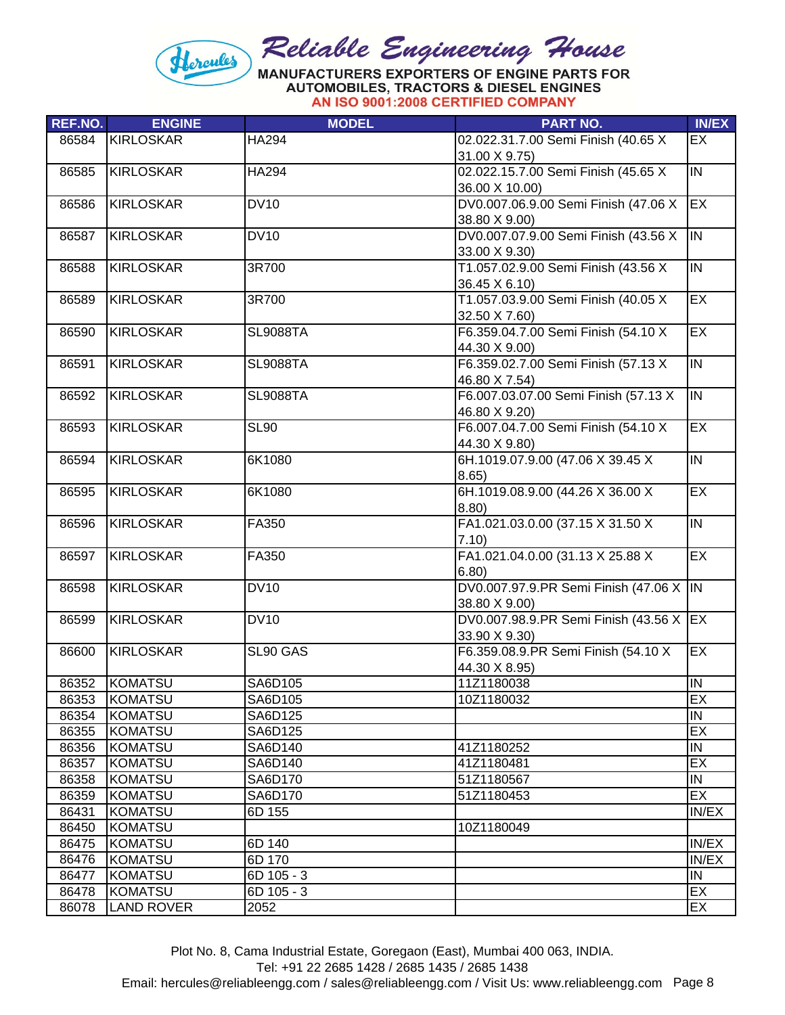

AN ISO 9001:2008 CERTIFIED COMPANY

| <b>REF.NO.</b> | <b>ENGINE</b>     | <b>MODEL</b>    | <b>PART NO.</b>                                      | <b>IN/EX</b>            |
|----------------|-------------------|-----------------|------------------------------------------------------|-------------------------|
| 86584          | <b>KIRLOSKAR</b>  | HA294           | 02.022.31.7.00 Semi Finish (40.65 X<br>31.00 X 9.75) | <b>EX</b>               |
| 86585          | <b>KIRLOSKAR</b>  | <b>HA294</b>    | 02.022.15.7.00 Semi Finish (45.65 X                  | $\overline{I}$          |
|                |                   |                 | 36.00 X 10.00)                                       |                         |
| 86586          | <b>KIRLOSKAR</b>  | <b>DV10</b>     | DV0.007.06.9.00 Semi Finish (47.06 X                 | EX                      |
|                |                   |                 | 38.80 X 9.00)                                        |                         |
| 86587          | <b>KIRLOSKAR</b>  | <b>DV10</b>     | DV0.007.07.9.00 Semi Finish (43.56 X                 | IN                      |
|                |                   |                 | 33.00 X 9.30)                                        |                         |
| 86588          | <b>KIRLOSKAR</b>  | 3R700           | T1.057.02.9.00 Semi Finish (43.56 X                  | $\overline{\mathsf{N}}$ |
|                |                   |                 | 36.45 X 6.10)                                        |                         |
| 86589          | <b>KIRLOSKAR</b>  | 3R700           | T1.057.03.9.00 Semi Finish (40.05 X                  | EX                      |
|                |                   |                 | 32.50 X 7.60)                                        |                         |
| 86590          | <b>KIRLOSKAR</b>  | <b>SL9088TA</b> | F6.359.04.7.00 Semi Finish (54.10 X                  | EX                      |
|                |                   |                 | 44.30 X 9.00)                                        |                         |
| 86591          | <b>KIRLOSKAR</b>  | <b>SL9088TA</b> | F6.359.02.7.00 Semi Finish (57.13 X                  | $\overline{N}$          |
|                |                   |                 | 46.80 X 7.54)                                        |                         |
| 86592          | <b>KIRLOSKAR</b>  | <b>SL9088TA</b> | F6.007.03.07.00 Semi Finish (57.13 X                 | $\overline{I}$          |
|                |                   |                 | 46.80 X 9.20)                                        |                         |
| 86593          | <b>KIRLOSKAR</b>  | <b>SL90</b>     | F6.007.04.7.00 Semi Finish (54.10 X                  | EX                      |
|                |                   |                 | 44.30 X 9.80)                                        |                         |
| 86594          | <b>KIRLOSKAR</b>  | 6K1080          | 6H.1019.07.9.00 (47.06 X 39.45 X                     | $\overline{N}$          |
|                |                   |                 | 8.65)                                                |                         |
| 86595          | <b>KIRLOSKAR</b>  | 6K1080          | 6H.1019.08.9.00 (44.26 X 36.00 X                     | EX                      |
|                |                   |                 | 8.80)                                                |                         |
| 86596          | <b>KIRLOSKAR</b>  | FA350           | FA1.021.03.0.00 (37.15 X 31.50 X                     | $\overline{I}$          |
|                |                   |                 | 7.10)                                                |                         |
| 86597          | <b>KIRLOSKAR</b>  | FA350           | FA1.021.04.0.00 (31.13 X 25.88 X                     | EX                      |
|                |                   |                 | 6.80)                                                |                         |
| 86598          | <b>KIRLOSKAR</b>  | <b>DV10</b>     | DV0.007.97.9.PR Semi Finish (47.06 X  IN             |                         |
|                |                   |                 | 38.80 X 9.00)                                        |                         |
| 86599          | <b>KIRLOSKAR</b>  | <b>DV10</b>     | DV0.007.98.9.PR Semi Finish (43.56 X EX              |                         |
|                |                   |                 | 33.90 X 9.30)                                        |                         |
| 86600          | <b>KIRLOSKAR</b>  | SL90 GAS        | F6.359.08.9.PR Semi Finish (54.10 X                  | EX                      |
|                |                   |                 | 44.30 X 8.95)                                        |                         |
| 86352          | <b>KOMATSU</b>    | SA6D105         | 11Z1180038                                           | $\overline{\mathsf{N}}$ |
| 86353          | KOMATSU           | SA6D105         | 10Z1180032                                           | EX                      |
| 86354          | <b>KOMATSU</b>    | SA6D125         |                                                      | $\overline{N}$          |
| 86355          | <b>KOMATSU</b>    | SA6D125         |                                                      | EX                      |
| 86356          | <b>KOMATSU</b>    | SA6D140         | 41Z1180252                                           | IN                      |
| 86357          | <b>KOMATSU</b>    | SA6D140         | 41Z1180481                                           | EX                      |
| 86358          | <b>KOMATSU</b>    | SA6D170         | 51Z1180567                                           | IN                      |
| 86359          | <b>KOMATSU</b>    | SA6D170         | 51Z1180453                                           | EX                      |
| 86431          | <b>KOMATSU</b>    | 6D 155          |                                                      | IN/EX                   |
| 86450          | <b>KOMATSU</b>    |                 | 10Z1180049                                           |                         |
| 86475          | <b>KOMATSU</b>    | 6D 140          |                                                      | IN/EX                   |
| 86476          | KOMATSU           | 6D 170          |                                                      | IN/EX                   |
| 86477          | <b>KOMATSU</b>    | 6D 105 - 3      |                                                      | IN                      |
| 86478          | <b>KOMATSU</b>    | 6D 105 - 3      |                                                      | EX                      |
| 86078          | <b>LAND ROVER</b> | 2052            |                                                      | EX                      |
|                |                   |                 |                                                      |                         |

Tel: +91 22 2685 1428 / 2685 1435 / 2685 1438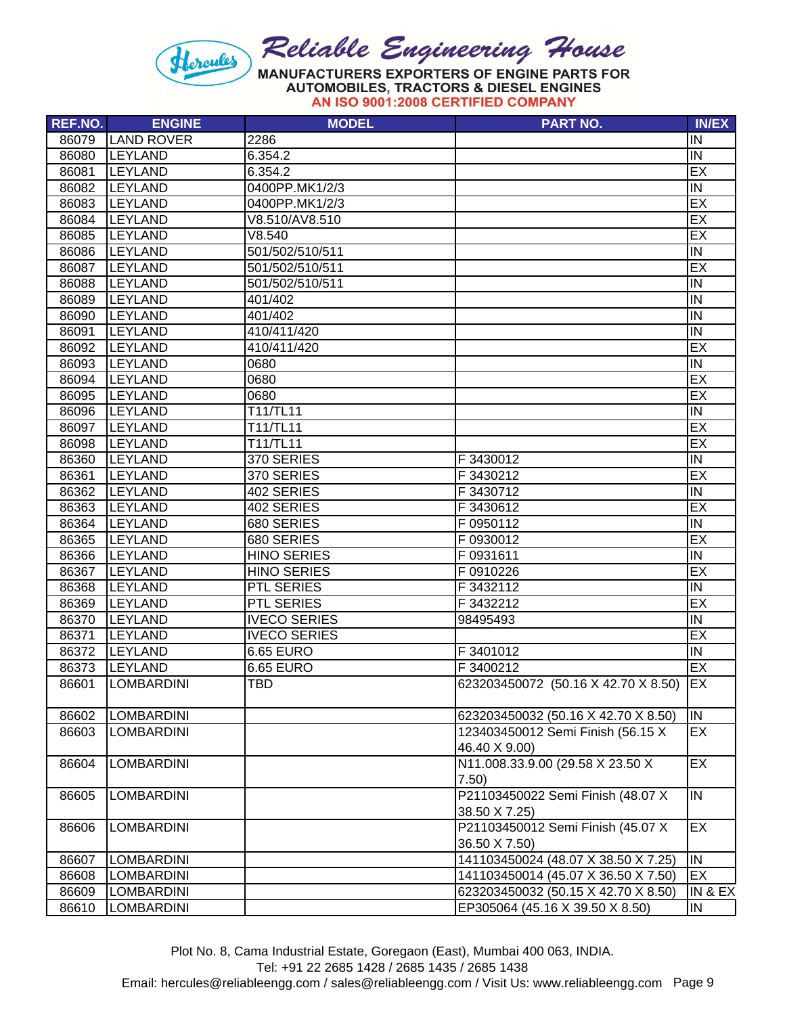

| <b>REF.NO.</b> | <b>ENGINE</b>     | <b>MODEL</b>        | <b>PART NO.</b>                     | <b>IN/EX</b>            |
|----------------|-------------------|---------------------|-------------------------------------|-------------------------|
| 86079          | <b>LAND ROVER</b> | 2286                |                                     | IN                      |
| 86080          | <b>LEYLAND</b>    | 6.354.2             |                                     | IN                      |
| 86081          | <b>LEYLAND</b>    | 6.354.2             |                                     | EX                      |
| 86082          | <b>LEYLAND</b>    | 0400PP.MK1/2/3      |                                     | IN                      |
| 86083          | <b>LEYLAND</b>    | 0400PP.MK1/2/3      |                                     | EX                      |
| 86084          | <b>LEYLAND</b>    | V8.510/AV8.510      |                                     | EX                      |
| 86085          | <b>LEYLAND</b>    | V8.540              |                                     | EX                      |
| 86086          | <b>LEYLAND</b>    | 501/502/510/511     |                                     | IN                      |
| 86087          | <b>LEYLAND</b>    | 501/502/510/511     |                                     | EX                      |
| 86088          | <b>LEYLAND</b>    | 501/502/510/511     |                                     | IN                      |
| 86089          | <b>LEYLAND</b>    | 401/402             |                                     | IN                      |
| 86090          | <b>LEYLAND</b>    | 401/402             |                                     | IN                      |
| 86091          | <b>LEYLAND</b>    | 410/411/420         |                                     | IN                      |
| 86092          | LEYLAND           | 410/411/420         |                                     | EX                      |
| 86093          | LEYLAND           | 0680                |                                     | IN                      |
| 86094          | LEYLAND           | 0680                |                                     | EX                      |
| 86095          | <b>LEYLAND</b>    | 0680                |                                     | EX                      |
| 86096          | LEYLAND           | T11/TL11            |                                     | IN                      |
| 86097          | <b>LEYLAND</b>    | T11/TL11            |                                     | EX                      |
| 86098          | <b>LEYLAND</b>    | T11/TL11            |                                     | EX                      |
| 86360          | <b>LEYLAND</b>    | 370 SERIES          | F 3430012                           | IN                      |
| 86361          | <b>LEYLAND</b>    | 370 SERIES          | F 3430212                           | EX                      |
| 86362          | <b>LEYLAND</b>    | 402 SERIES          | F 3430712                           | IN                      |
| 86363          | <b>LEYLAND</b>    | 402 SERIES          | F 3430612                           | EX                      |
| 86364          | <b>LEYLAND</b>    | 680 SERIES          | F 0950112                           | IN                      |
| 86365          | <b>LEYLAND</b>    | 680 SERIES          | F0930012                            | EX                      |
| 86366          | <b>LEYLAND</b>    | <b>HINO SERIES</b>  | F 0931611                           | IN                      |
| 86367          | <b>LEYLAND</b>    | <b>HINO SERIES</b>  | F 0910226                           | EX                      |
| 86368          | <b>LEYLAND</b>    | PTL SERIES          | F 3432112                           | IN                      |
| 86369          | <b>LEYLAND</b>    | PTL SERIES          | F 3432212                           | EX                      |
| 86370          | <b>LEYLAND</b>    | <b>IVECO SERIES</b> | 98495493                            | IN                      |
| 86371          | <b>LEYLAND</b>    | <b>IVECO SERIES</b> |                                     | EX                      |
| 86372          | <b>LEYLAND</b>    | 6.65 EURO           | F 3401012                           | IN                      |
| 86373          | <b>LEYLAND</b>    | <b>6.65 EURO</b>    | F 3400212                           | EX                      |
| 86601          | <b>LOMBARDINI</b> | <b>TBD</b>          | 623203450072 (50.16 X 42.70 X 8.50) | <b>EX</b>               |
| 86602          | <b>LOMBARDINI</b> |                     | 623203450032 (50.16 X 42.70 X 8.50) | IN                      |
| 86603          | <b>LOMBARDINI</b> |                     | 123403450012 Semi Finish (56.15 X   | EX                      |
|                |                   |                     | 46.40 X 9.00)                       |                         |
| 86604          | <b>LOMBARDINI</b> |                     | N11.008.33.9.00 (29.58 X 23.50 X    | EX                      |
|                |                   |                     | 7.50)                               |                         |
| 86605          | <b>LOMBARDINI</b> |                     | P21103450022 Semi Finish (48.07 X   | $\overline{N}$          |
|                |                   |                     | 38.50 X 7.25)                       |                         |
| 86606          | <b>LOMBARDINI</b> |                     | P21103450012 Semi Finish (45.07 X   | EX                      |
|                |                   |                     | 36.50 X 7.50)                       |                         |
| 86607          | <b>LOMBARDINI</b> |                     | 141103450024 (48.07 X 38.50 X 7.25) | $\overline{\mathsf{N}}$ |
| 86608          | <b>LOMBARDINI</b> |                     | 141103450014 (45.07 X 36.50 X 7.50) | EX                      |
| 86609          | <b>LOMBARDINI</b> |                     | 623203450032 (50.15 X 42.70 X 8.50) | IN & EX                 |
| 86610          | <b>LOMBARDINI</b> |                     | EP305064 (45.16 X 39.50 X 8.50)     | IN                      |

Tel: +91 22 2685 1428 / 2685 1435 / 2685 1438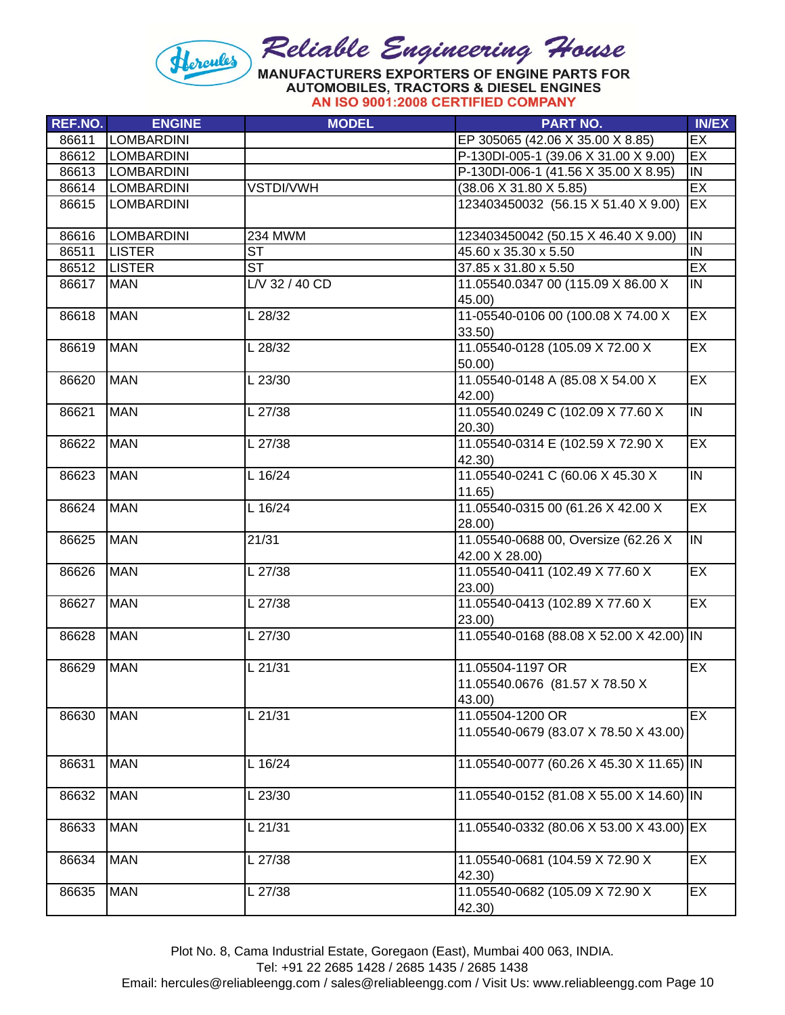

| REF.NO. | <b>ENGINE</b>     | <b>MODEL</b>       | <b>PART NO.</b>                                              | <b>IN/EX</b>   |
|---------|-------------------|--------------------|--------------------------------------------------------------|----------------|
| 86611   | LOMBARDINI        |                    | EP 305065 (42.06 X 35.00 X 8.85)                             | EX             |
| 86612   | <b>LOMBARDINI</b> |                    | P-130DI-005-1 (39.06 X 31.00 X 9.00)                         | EX             |
| 86613   | <b>LOMBARDINI</b> |                    | P-130DI-006-1 (41.56 X 35.00 X 8.95)                         | $\overline{N}$ |
| 86614   | <b>LOMBARDINI</b> | VSTDI/VWH          | $(38.06 \times 31.80 \times 5.85)$                           | EX             |
| 86615   | <b>LOMBARDINI</b> |                    | 123403450032 (56.15 X 51.40 X 9.00)                          | EX             |
| 86616   | <b>LOMBARDINI</b> | 234 MWM            | 123403450042 (50.15 X 46.40 X 9.00)                          | $\overline{N}$ |
| 86511   | <b>LISTER</b>     | <b>ST</b>          | 45.60 x 35.30 x 5.50                                         | $\overline{N}$ |
| 86512   | <b>LISTER</b>     | <b>ST</b>          | 37.85 x 31.80 x 5.50                                         | EX             |
| 86617   | <b>MAN</b>        | $L/V$ 32 / 40 $CD$ | 11.05540.0347 00 (115.09 X 86.00 X<br>45.00)                 | IN             |
| 86618   | <b>MAN</b>        | L 28/32            | 11-05540-0106 00 (100.08 X 74.00 X<br>33.50)                 | EX             |
| 86619   | <b>MAN</b>        | L 28/32            | 11.05540-0128 (105.09 X 72.00 X<br>50.00                     | EX             |
| 86620   | <b>MAN</b>        | L 23/30            | 11.05540-0148 A (85.08 X 54.00 X<br>42.00)                   | EX             |
| 86621   | <b>MAN</b>        | L 27/38            | 11.05540.0249 C (102.09 X 77.60 X<br>20.30)                  | $\overline{I}$ |
| 86622   | <b>MAN</b>        | L 27/38            | 11.05540-0314 E (102.59 X 72.90 X<br>42.30)                  | EX             |
| 86623   | <b>MAN</b>        | L 16/24            | 11.05540-0241 C (60.06 X 45.30 X<br>11.65)                   | IN             |
| 86624   | <b>MAN</b>        | L 16/24            | 11.05540-0315 00 (61.26 X 42.00 X<br>28.00)                  | EX             |
| 86625   | <b>MAN</b>        | 21/31              | 11.05540-0688 00, Oversize (62.26 X<br>42.00 X 28.00)        | $\overline{I}$ |
| 86626   | <b>MAN</b>        | L 27/38            | 11.05540-0411 (102.49 X 77.60 X<br>23.00)                    | EX             |
| 86627   | <b>MAN</b>        | L 27/38            | 11.05540-0413 (102.89 X 77.60 X<br>23.00)                    | EX             |
| 86628   | <b>MAN</b>        | L 27/30            | 11.05540-0168 (88.08 X 52.00 X 42.00) IN                     |                |
| 86629   | <b>MAN</b>        | L 21/31            | 11.05504-1197 OR<br>11.05540.0676 (81.57 X 78.50 X<br>43.00) | EX             |
| 86630   | <b>MAN</b>        | L 21/31            | 11.05504-1200 OR<br>11.05540-0679 (83.07 X 78.50 X 43.00)    | EX             |
| 86631   | <b>MAN</b>        | L 16/24            | 11.05540-0077 (60.26 X 45.30 X 11.65) IN                     |                |
| 86632   | <b>MAN</b>        | L 23/30            | 11.05540-0152 (81.08 X 55.00 X 14.60) IN                     |                |
| 86633   | <b>MAN</b>        | L 21/31            | 11.05540-0332 (80.06 X 53.00 X 43.00) EX                     |                |
| 86634   | <b>MAN</b>        | L 27/38            | 11.05540-0681 (104.59 X 72.90 X<br>42.30)                    | EX             |
| 86635   | <b>MAN</b>        | L 27/38            | 11.05540-0682 (105.09 X 72.90 X<br>42.30)                    | EX             |

Plot No. 8, Cama Industrial Estate, Goregaon (East), Mumbai 400 063, INDIA.

Tel: +91 22 2685 1428 / 2685 1435 / 2685 1438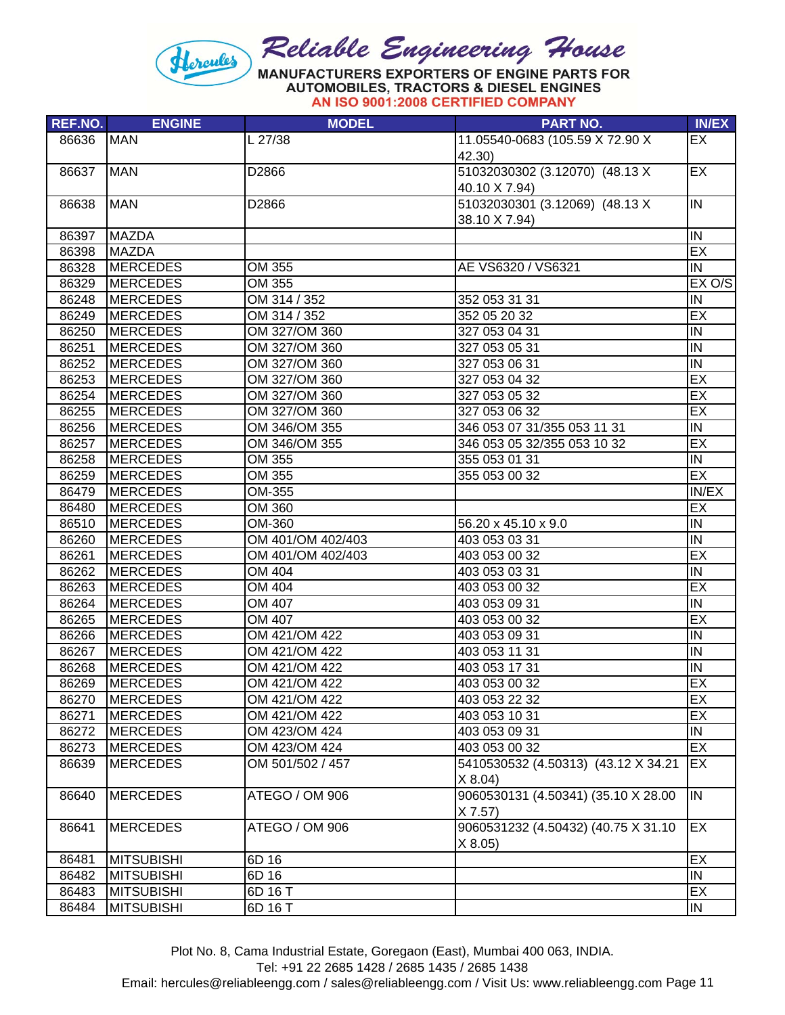

| <b>REF.NO.</b> | <b>ENGINE</b>     | <b>MODEL</b>      | <b>PART NO.</b>                           | <b>IN/EX</b>            |
|----------------|-------------------|-------------------|-------------------------------------------|-------------------------|
| 86636          | <b>MAN</b>        | L 27/38           | 11.05540-0683 (105.59 X 72.90 X<br>42.30) | EX                      |
| 86637          | <b>MAN</b>        | D2866             | 51032030302 (3.12070) (48.13 X            | EX                      |
|                |                   |                   | 40.10 X 7.94)                             |                         |
| 86638          | <b>MAN</b>        | D2866             | 51032030301 (3.12069) (48.13 X            | IN                      |
|                |                   |                   | 38.10 X 7.94)                             |                         |
| 86397          | MAZDA             |                   |                                           | $\overline{\mathsf{N}}$ |
| 86398          | <b>MAZDA</b>      |                   |                                           | EX                      |
| 86328          | <b>MERCEDES</b>   | OM 355            | AE VS6320 / VS6321                        | IN.                     |
| 86329          | <b>MERCEDES</b>   | OM 355            |                                           | EX O/S                  |
| 86248          | <b>MERCEDES</b>   | OM 314 / 352      | 352 053 31 31                             | IN                      |
| 86249          | <b>MERCEDES</b>   | OM 314 / 352      | 352 05 20 32                              | EX                      |
| 86250          | <b>MERCEDES</b>   | OM 327/OM 360     | 327 053 04 31                             | $\overline{\Xi}$        |
| 86251          | <b>MERCEDES</b>   | OM 327/OM 360     | 327 053 05 31                             | IN                      |
| 86252          | <b>MERCEDES</b>   | OM 327/OM 360     | 327 053 06 31                             | IN                      |
| 86253          | <b>MERCEDES</b>   | OM 327/OM 360     | 327 053 04 32                             | EX                      |
| 86254          | <b>MERCEDES</b>   | OM 327/OM 360     | 327 053 05 32                             | EX                      |
| 86255          | <b>MERCEDES</b>   | OM 327/OM 360     | 327 053 06 32                             | EX                      |
| 86256          | <b>MERCEDES</b>   | OM 346/OM 355     | 346 053 07 31/355 053 11 31               | IN                      |
| 86257          | <b>MERCEDES</b>   | OM 346/OM 355     | 346 053 05 32/355 053 10 32               | EX                      |
| 86258          | <b>MERCEDES</b>   | OM 355            | 355 053 01 31                             | IN                      |
| 86259          | <b>MERCEDES</b>   | OM 355            | 355 053 00 32                             | EX                      |
| 86479          | <b>MERCEDES</b>   | OM-355            |                                           | IN/EX                   |
| 86480          | <b>MERCEDES</b>   | OM 360            |                                           | EX                      |
| 86510          | <b>MERCEDES</b>   | OM-360            | 56.20 x 45.10 x 9.0                       | IN                      |
| 86260          | <b>MERCEDES</b>   | OM 401/OM 402/403 | 403 053 03 31                             | $\overline{\mathsf{N}}$ |
| 86261          | <b>MERCEDES</b>   | OM 401/OM 402/403 | 403 053 00 32                             | EX                      |
| 86262          | <b>MERCEDES</b>   | OM 404            | 403 053 03 31                             | $\overline{N}$          |
| 86263          | <b>MERCEDES</b>   | OM 404            | 403 053 00 32                             | EX                      |
| 86264          | <b>MERCEDES</b>   | OM 407            | 403 053 09 31                             | IN                      |
| 86265          | <b>MERCEDES</b>   | OM 407            | 403 053 00 32                             | EX                      |
| 86266          | <b>MERCEDES</b>   | OM 421/OM 422     | 403 053 09 31                             | IN                      |
| 86267          | <b>MERCEDES</b>   | OM 421/OM 422     | 403 053 11 31                             | IN                      |
| 86268          | <b>MERCEDES</b>   | OM 421/OM 422     | 403 053 17 31                             | IN                      |
| 86269          | <b>MERCEDES</b>   | OM 421/OM 422     | 403 053 00 32                             | EX                      |
| 86270          | <b>MERCEDES</b>   | OM 421/OM 422     | 403 053 22 32                             | EX                      |
| 86271          | <b>MERCEDES</b>   | OM 421/OM 422     | 403 053 10 31                             | EX                      |
| 86272          | <b>MERCEDES</b>   | OM 423/OM 424     | 403 053 09 31                             | IN                      |
| 86273          | <b>MERCEDES</b>   | OM 423/OM 424     | 403 053 00 32                             | EX                      |
| 86639          | MERCEDES          | OM 501/502 / 457  | 5410530532 (4.50313) (43.12 X 34.21       | EX                      |
|                |                   |                   | X 8.04                                    |                         |
| 86640          | <b>MERCEDES</b>   | ATEGO / OM 906    | 9060530131 (4.50341) (35.10 X 28.00       | IN.                     |
|                |                   |                   | X 7.57                                    |                         |
| 86641          | <b>MERCEDES</b>   | ATEGO / OM 906    | 9060531232 (4.50432) (40.75 X 31.10       | EX                      |
|                |                   |                   | X 8.05                                    |                         |
| 86481          | <b>MITSUBISHI</b> | 6D 16             |                                           | EX                      |
| 86482          | <b>MITSUBISHI</b> | 6D 16             |                                           | IN                      |
| 86483          | <b>MITSUBISHI</b> | 6D 16 T           |                                           | EX                      |
| 86484          | <b>MITSUBISHI</b> | 6D 16 T           |                                           | IN                      |

Plot No. 8, Cama Industrial Estate, Goregaon (East), Mumbai 400 063, INDIA.

Tel: +91 22 2685 1428 / 2685 1435 / 2685 1438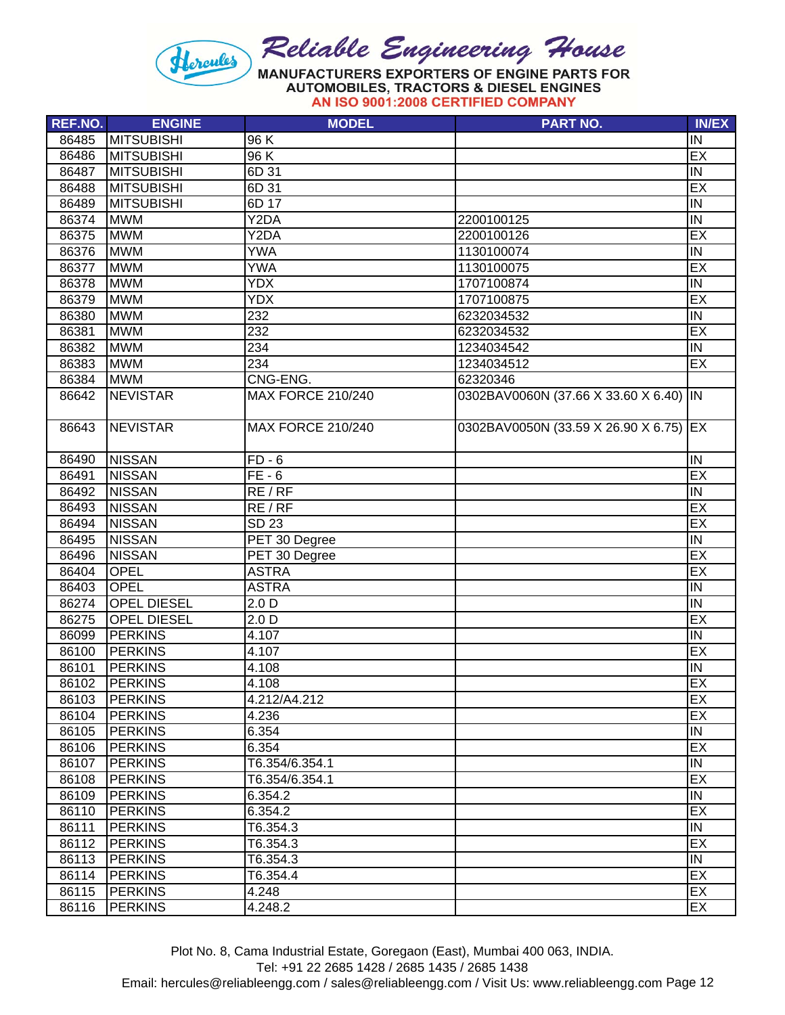

| AN ISO 9001:2008 CERTIFIED COMPANY |  |
|------------------------------------|--|
|------------------------------------|--|

| REF.NO. | <b>ENGINE</b>      | <b>MODEL</b>             | <b>PART NO.</b>                        | <b>IN/EX</b>              |
|---------|--------------------|--------------------------|----------------------------------------|---------------------------|
| 86485   | <b>MITSUBISHI</b>  | 96 K                     |                                        | IN                        |
| 86486   | <b>MITSUBISHI</b>  | 96 K                     |                                        | EX                        |
| 86487   | <b>MITSUBISHI</b>  | 6D 31                    |                                        | $\overline{\overline{N}}$ |
| 86488   | <b>MITSUBISHI</b>  | 6D 31                    |                                        | EX                        |
| 86489   | <b>MITSUBISHI</b>  | 6D 17                    |                                        | IN                        |
| 86374   | <b>MWM</b>         | Y2DA                     | 2200100125                             | IN                        |
| 86375   | <b>MWM</b>         | Y2DA                     | 2200100126                             | EX                        |
| 86376   | <b>MWM</b>         | <b>YWA</b>               | 1130100074                             | $\overline{N}$            |
| 86377   | <b>MWM</b>         | <b>YWA</b>               | 1130100075                             | EX                        |
| 86378   | <b>MWM</b>         | <b>YDX</b>               | 1707100874                             | $\overline{\mathsf{I}}$   |
| 86379   | <b>MWM</b>         | <b>YDX</b>               | 1707100875                             | EX                        |
| 86380   | <b>MWM</b>         | 232                      | 6232034532                             | IN                        |
| 86381   | <b>MWM</b>         | 232                      | 6232034532                             | EX                        |
| 86382   | <b>MWM</b>         | 234                      | 1234034542                             | $\overline{N}$            |
| 86383   | <b>MWM</b>         | 234                      | 1234034512                             | EX                        |
| 86384   | <b>MWM</b>         | CNG-ENG.                 | 62320346                               |                           |
| 86642   | <b>NEVISTAR</b>    | <b>MAX FORCE 210/240</b> | 0302BAV0060N (37.66 X 33.60 X 6.40) IN |                           |
| 86643   | <b>NEVISTAR</b>    | <b>MAX FORCE 210/240</b> | 0302BAV0050N (33.59 X 26.90 X 6.75) EX |                           |
|         |                    |                          |                                        |                           |
| 86490   | <b>NISSAN</b>      | $FD - 6$                 |                                        | IN                        |
| 86491   | <b>NISSAN</b>      | $FE - 6$                 |                                        | EX                        |
| 86492   | <b>NISSAN</b>      | RE/RF                    |                                        | IN                        |
| 86493   | <b>NISSAN</b>      | RE/RF                    |                                        | EX                        |
| 86494   | <b>NISSAN</b>      | <b>SD 23</b>             |                                        | EX                        |
| 86495   | <b>NISSAN</b>      | PET 30 Degree            |                                        | $\overline{N}$            |
| 86496   | <b>NISSAN</b>      | PET 30 Degree            |                                        | EX                        |
| 86404   | <b>OPEL</b>        | <b>ASTRA</b>             |                                        | EX                        |
| 86403   | <b>OPEL</b>        | <b>ASTRA</b>             |                                        | $\overline{N}$            |
| 86274   | <b>OPEL DIESEL</b> | 2.0 <sub>D</sub>         |                                        | $\overline{N}$            |
| 86275   | <b>OPEL DIESEL</b> | 2.0 <sub>D</sub>         |                                        | EX                        |
| 86099   | <b>PERKINS</b>     | 4.107                    |                                        | $\overline{\overline{N}}$ |
| 86100   | <b>PERKINS</b>     | 4.107                    |                                        | EX                        |
| 86101   | <b>PERKINS</b>     | 4.108                    |                                        | IN                        |
| 86102   | <b>PERKINS</b>     | 4.108                    |                                        | EX                        |
| 86103   | PERKINS            | 4.212/A4.212             |                                        | EX                        |
| 86104   | <b>PERKINS</b>     | 4.236                    |                                        | EX                        |
| 86105   | <b>PERKINS</b>     | 6.354                    |                                        | IN                        |
| 86106   | <b>PERKINS</b>     | 6.354                    |                                        | EX                        |
| 86107   | <b>PERKINS</b>     | T6.354/6.354.1           |                                        | IN                        |
| 86108   | <b>PERKINS</b>     | T6.354/6.354.1           |                                        | EX                        |
| 86109   | <b>PERKINS</b>     | 6.354.2                  |                                        | IN                        |
| 86110   | <b>PERKINS</b>     | 6.354.2                  |                                        | EX                        |
| 86111   | <b>PERKINS</b>     | T6.354.3                 |                                        | IN                        |
| 86112   | <b>PERKINS</b>     | T6.354.3                 |                                        | EX                        |
| 86113   | <b>PERKINS</b>     | T6.354.3                 |                                        | IN                        |
| 86114   | <b>PERKINS</b>     | T6.354.4                 |                                        | EX                        |
| 86115   | <b>PERKINS</b>     | 4.248                    |                                        | EX                        |
| 86116   | <b>PERKINS</b>     | 4.248.2                  |                                        | EX                        |

Tel: +91 22 2685 1428 / 2685 1435 / 2685 1438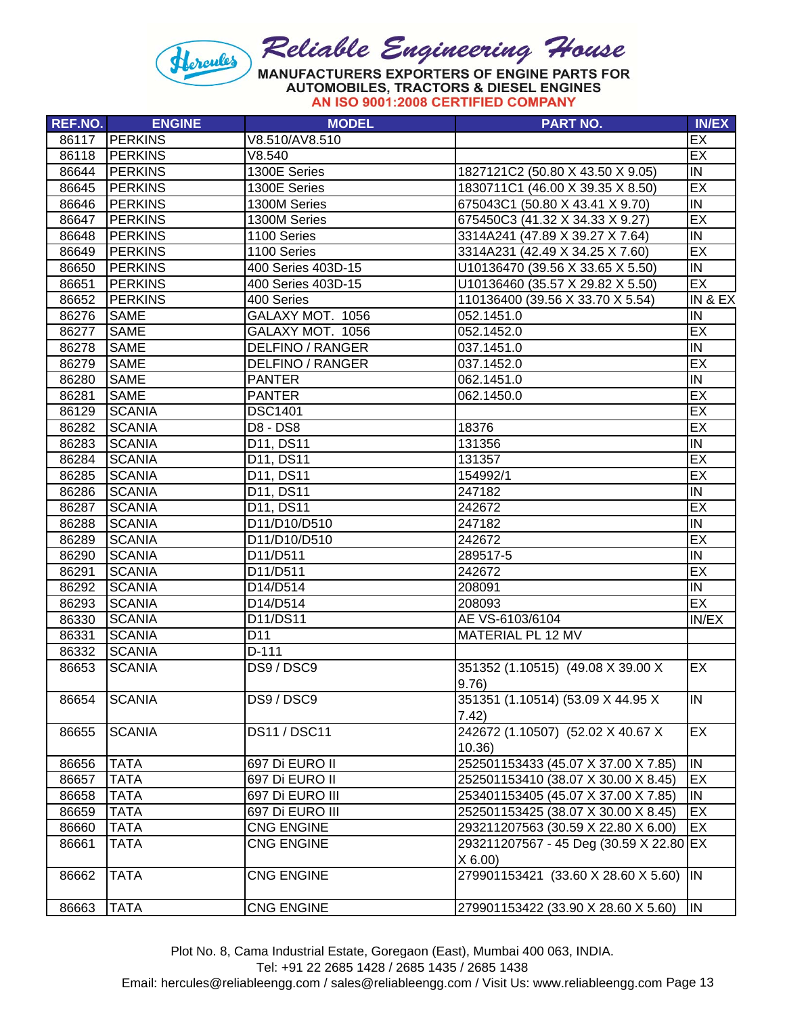

|  |                                    | AUTOMODIELU, TIVAUTURU & DILULE ERUMEU |
|--|------------------------------------|----------------------------------------|
|  | AN ISO 9001:2008 CERTIFIED COMPANY |                                        |

| REF.NO. | <b>ENGINE</b>  | <b>MODEL</b>                      | <b>PART NO.</b>                         | <b>IN/EX</b>            |
|---------|----------------|-----------------------------------|-----------------------------------------|-------------------------|
| 86117   | <b>PERKINS</b> | V8.510/AV8.510                    |                                         | EX                      |
| 86118   | <b>PERKINS</b> | V8.540                            |                                         | EX                      |
| 86644   | <b>PERKINS</b> | 1300E Series                      | 1827121C2 (50.80 X 43.50 X 9.05)        | IN                      |
| 86645   | <b>PERKINS</b> | 1300E Series                      | 1830711C1 (46.00 X 39.35 X 8.50)        | EX                      |
| 86646   | <b>PERKINS</b> | 1300M Series                      | 675043C1 (50.80 X 43.41 X 9.70)         | IN                      |
| 86647   | <b>PERKINS</b> | 1300M Series                      | 675450C3 (41.32 X 34.33 X 9.27)         | EX                      |
| 86648   | <b>PERKINS</b> | 1100 Series                       | 3314A241 (47.89 X 39.27 X 7.64)         | $\overline{N}$          |
| 86649   | <b>PERKINS</b> | 1100 Series                       | 3314A231 (42.49 X 34.25 X 7.60)         | EX                      |
| 86650   | <b>PERKINS</b> | 400 Series 403D-15                | U10136470 (39.56 X 33.65 X 5.50)        | IN                      |
| 86651   | <b>PERKINS</b> | 400 Series 403D-15                | U10136460 (35.57 X 29.82 X 5.50)        | EX                      |
| 86652   | <b>PERKINS</b> | 400 Series                        | 110136400 (39.56 X 33.70 X 5.54)        | IN & EX                 |
| 86276   | <b>SAME</b>    | GALAXY MOT. 1056                  | 052.1451.0                              | IN                      |
| 86277   | <b>SAME</b>    | GALAXY MOT. 1056                  | 052.1452.0                              | EX                      |
| 86278   | <b>SAME</b>    | <b>DELFINO / RANGER</b>           | 037.1451.0                              | $\overline{N}$          |
| 86279   | <b>SAME</b>    | <b>DELFINO / RANGER</b>           | 037.1452.0                              | EX                      |
| 86280   | <b>SAME</b>    | PANTER                            | 062.1451.0                              | IN                      |
| 86281   | <b>SAME</b>    | <b>PANTER</b>                     | 062.1450.0                              | EX                      |
| 86129   | <b>SCANIA</b>  | <b>DSC1401</b>                    |                                         | EX                      |
| 86282   | <b>SCANIA</b>  | <b>D8 - DS8</b>                   | 18376                                   | EX                      |
| 86283   | <b>SCANIA</b>  | D11, DS11                         | 131356                                  | IN                      |
| 86284   | <b>SCANIA</b>  | D11, DS11                         | 131357                                  | EX                      |
| 86285   | <b>SCANIA</b>  | D11, DS11                         | 154992/1                                | EX                      |
| 86286   | <b>SCANIA</b>  | D11, DS11                         | 247182                                  | IN                      |
| 86287   | <b>SCANIA</b>  | D11, DS11                         | 242672                                  | EX                      |
| 86288   | <b>SCANIA</b>  | D11/D10/D510                      | 247182                                  | IN                      |
| 86289   | <b>SCANIA</b>  | D11/D10/D510                      | 242672                                  | EX                      |
| 86290   | <b>SCANIA</b>  | D11/D511                          | 289517-5                                | $\overline{N}$          |
| 86291   | <b>SCANIA</b>  | D11/D511                          | 242672                                  | EX                      |
| 86292   | <b>SCANIA</b>  | D14/D514                          | 208091                                  | $\overline{N}$          |
| 86293   | <b>SCANIA</b>  | D14/D514                          | 208093                                  | EX                      |
| 86330   | <b>SCANIA</b>  | D <sub>11</sub> /DS <sub>11</sub> | AE VS-6103/6104                         | IN/EX                   |
| 86331   | <b>SCANIA</b>  | D <sub>11</sub>                   | MATERIAL PL 12 MV                       |                         |
| 86332   | <b>SCANIA</b>  | D-111                             |                                         |                         |
| 86653   | <b>SCANIA</b>  | DS9 / DSC9                        | 351352 (1.10515) (49.08 X 39.00 X       | EX                      |
|         |                |                                   | 9.76)                                   |                         |
| 86654   | <b>SCANIA</b>  | DS9 / DSC9                        | 351351 (1.10514) (53.09 X 44.95 X       | IN                      |
|         |                |                                   | 7.42)                                   |                         |
| 86655   | <b>SCANIA</b>  | <b>DS11/DSC11</b>                 | 242672 (1.10507) (52.02 X 40.67 X       | EX                      |
|         |                |                                   | 10.36)                                  |                         |
| 86656   | <b>TATA</b>    | 697 Di EURO II                    | 252501153433 (45.07 X 37.00 X 7.85)     | $\overline{\mathsf{N}}$ |
| 86657   | <b>TATA</b>    | 697 Di EURO II                    | 252501153410 (38.07 X 30.00 X 8.45)     | EX                      |
| 86658   | <b>TATA</b>    | 697 Di EURO III                   | 253401153405 (45.07 X 37.00 X 7.85)     | IN                      |
| 86659   | <b>TATA</b>    | 697 Di EURO III                   | 252501153425 (38.07 X 30.00 X 8.45)     | EX                      |
| 86660   | <b>TATA</b>    | CNG ENGINE                        | 293211207563 (30.59 X 22.80 X 6.00)     | EX                      |
| 86661   | TATA           | CNG ENGINE                        | 293211207567 - 45 Deg (30.59 X 22.80 EX |                         |
|         |                |                                   | X 6.00                                  |                         |
| 86662   | <b>TATA</b>    | <b>CNG ENGINE</b>                 | 279901153421 (33.60 X 28.60 X 5.60)     | <b>IN</b>               |
|         |                |                                   |                                         |                         |
| 86663   | <b>TATA</b>    | <b>CNG ENGINE</b>                 | 279901153422 (33.90 X 28.60 X 5.60)     | IN.                     |

Tel: +91 22 2685 1428 / 2685 1435 / 2685 1438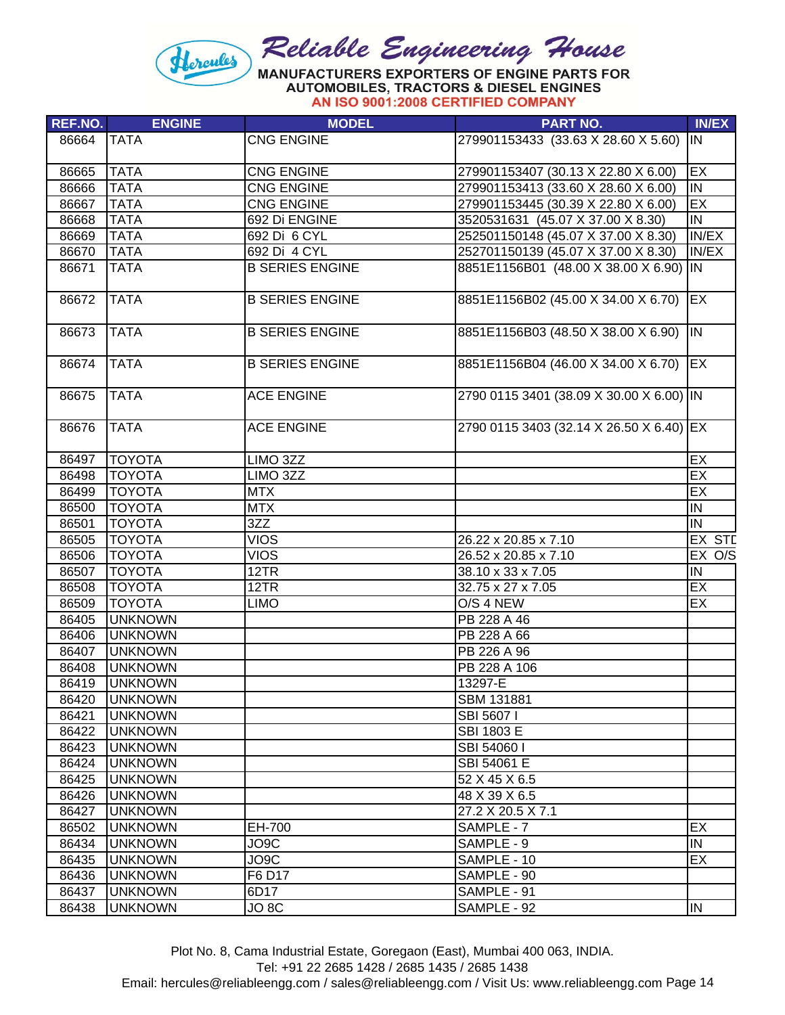

| 279901153433 (33.63 X 28.60 X 5.60) IN   |                                                                                                                                                                                                                                                              |
|------------------------------------------|--------------------------------------------------------------------------------------------------------------------------------------------------------------------------------------------------------------------------------------------------------------|
|                                          |                                                                                                                                                                                                                                                              |
|                                          | EX                                                                                                                                                                                                                                                           |
|                                          | $\overline{\mathsf{IN}}$                                                                                                                                                                                                                                     |
|                                          | <b>EX</b>                                                                                                                                                                                                                                                    |
|                                          | IN                                                                                                                                                                                                                                                           |
|                                          | IN/EX                                                                                                                                                                                                                                                        |
|                                          | IN/EX                                                                                                                                                                                                                                                        |
| 8851E1156B01 (48.00 X 38.00 X 6.90) IN   |                                                                                                                                                                                                                                                              |
| 8851E1156B02 (45.00 X 34.00 X 6.70)      | EX                                                                                                                                                                                                                                                           |
| 8851E1156B03 (48.50 X 38.00 X 6.90)      | <b>IN</b>                                                                                                                                                                                                                                                    |
| 8851E1156B04 (46.00 X 34.00 X 6.70) EX   |                                                                                                                                                                                                                                                              |
| 2790 0115 3401 (38.09 X 30.00 X 6.00) IN |                                                                                                                                                                                                                                                              |
| 2790 0115 3403 (32.14 X 26.50 X 6.40) EX |                                                                                                                                                                                                                                                              |
|                                          | EX                                                                                                                                                                                                                                                           |
|                                          | EX                                                                                                                                                                                                                                                           |
|                                          | EX                                                                                                                                                                                                                                                           |
|                                          | IN                                                                                                                                                                                                                                                           |
|                                          | IN                                                                                                                                                                                                                                                           |
|                                          | EX STD                                                                                                                                                                                                                                                       |
| 26.52 x 20.85 x 7.10                     | EX O/S                                                                                                                                                                                                                                                       |
| 38.10 x 33 x 7.05                        | IN                                                                                                                                                                                                                                                           |
| 32.75 x 27 x 7.05                        | EX                                                                                                                                                                                                                                                           |
|                                          | EX                                                                                                                                                                                                                                                           |
|                                          |                                                                                                                                                                                                                                                              |
|                                          |                                                                                                                                                                                                                                                              |
|                                          |                                                                                                                                                                                                                                                              |
| PB 228 A 106                             |                                                                                                                                                                                                                                                              |
|                                          |                                                                                                                                                                                                                                                              |
|                                          |                                                                                                                                                                                                                                                              |
|                                          |                                                                                                                                                                                                                                                              |
|                                          |                                                                                                                                                                                                                                                              |
|                                          |                                                                                                                                                                                                                                                              |
|                                          |                                                                                                                                                                                                                                                              |
| 52 X 45 X 6.5                            |                                                                                                                                                                                                                                                              |
| 48 X 39 X 6.5                            |                                                                                                                                                                                                                                                              |
| 27.2 X 20.5 X 7.1                        |                                                                                                                                                                                                                                                              |
|                                          | EX                                                                                                                                                                                                                                                           |
|                                          | IN                                                                                                                                                                                                                                                           |
| SAMPLE - 10                              | EX                                                                                                                                                                                                                                                           |
| SAMPLE - 90                              |                                                                                                                                                                                                                                                              |
| SAMPLE - 91                              |                                                                                                                                                                                                                                                              |
| SAMPLE - 92                              | <b>IN</b>                                                                                                                                                                                                                                                    |
|                                          | 279901153407 (30.13 X 22.80 X 6.00)<br>279901153413 (33.60 X 28.60 X 6.00)<br>279901153445 (30.39 X 22.80 X 6.00)<br>3520531631 (45.07 X 37.00 X 8.30)<br>252501150148 (45.07 X 37.00 X 8.30)<br>252701150139 (45.07 X 37.00 X 8.30)<br>26.22 x 20.85 x 7.10 |

Plot No. 8, Cama Industrial Estate, Goregaon (East), Mumbai 400 063, INDIA.

Tel: +91 22 2685 1428 / 2685 1435 / 2685 1438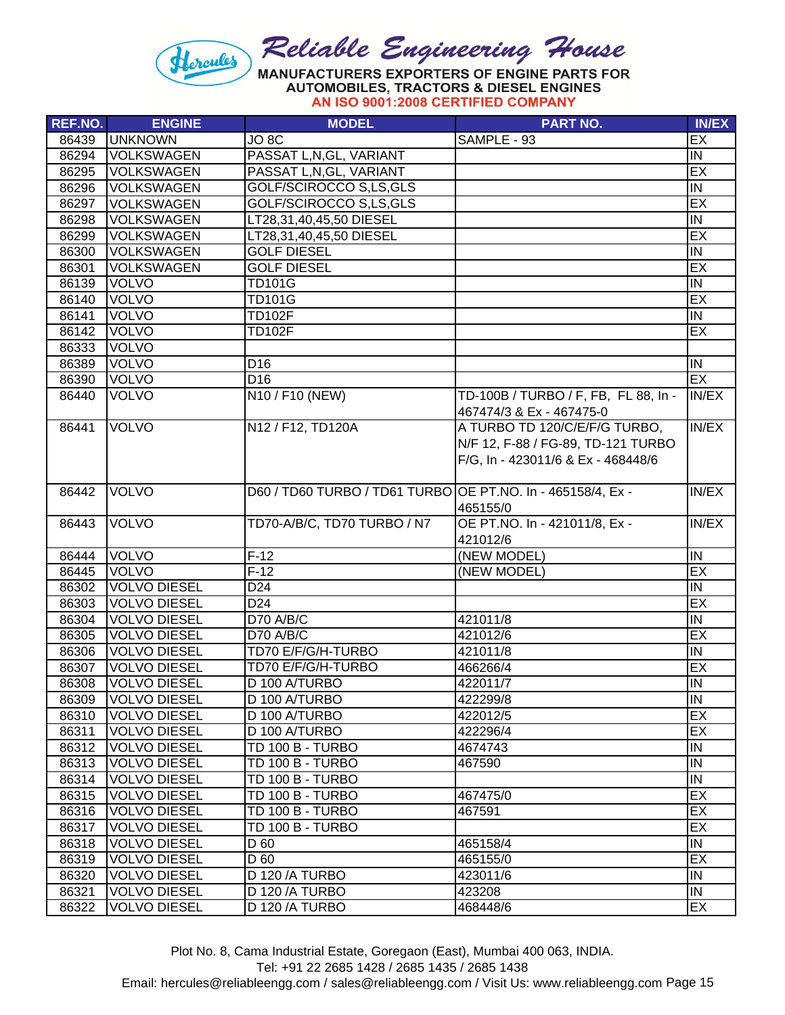

| REF.NO. | <b>ENGINE</b>       | <b>MODEL</b>                                                | <b>PART NO.</b>                      | <b>IN/EX</b>     |
|---------|---------------------|-------------------------------------------------------------|--------------------------------------|------------------|
| 86439   | <b>UNKNOWN</b>      | JO <sub>8</sub> C                                           | SAMPLE - 93                          | EX               |
| 86294   | <b>VOLKSWAGEN</b>   | PASSAT L, N, GL, VARIANT                                    |                                      | IN.              |
| 86295   | <b>VOLKSWAGEN</b>   | PASSAT L, N, GL, VARIANT                                    |                                      | EX               |
| 86296   | <b>VOLKSWAGEN</b>   | GOLF/SCIROCCO S,LS,GLS                                      |                                      | IN               |
| 86297   | <b>VOLKSWAGEN</b>   | GOLF/SCIROCCO S,LS,GLS                                      |                                      | EX               |
| 86298   | <b>VOLKSWAGEN</b>   | LT28,31,40,45,50 DIESEL                                     |                                      | IN               |
| 86299   | <b>VOLKSWAGEN</b>   | LT28,31,40,45,50 DIESEL                                     |                                      | EX               |
| 86300   | <b>VOLKSWAGEN</b>   | <b>GOLF DIESEL</b>                                          |                                      | <b>IN</b>        |
| 86301   | <b>VOLKSWAGEN</b>   | <b>GOLF DIESEL</b>                                          |                                      | EX               |
| 86139   | <b>VOLVO</b>        | <b>TD101G</b>                                               |                                      | IN               |
| 86140   | <b>VOLVO</b>        | <b>TD101G</b>                                               |                                      | EX               |
| 86141   | <b>VOLVO</b>        | <b>TD102F</b>                                               |                                      | Σ                |
| 86142   | <b>VOLVO</b>        | <b>TD102F</b>                                               |                                      | EX               |
| 86333   | <b>VOLVO</b>        |                                                             |                                      |                  |
| 86389   | <b>VOLVO</b>        | D <sub>16</sub>                                             |                                      | IN               |
| 86390   | <b>VOLVO</b>        | D <sub>16</sub>                                             |                                      | EX               |
| 86440   | <b>VOLVO</b>        | N10 / F10 (NEW)                                             | TD-100B / TURBO / F, FB, FL 88, In - | IN/EX            |
|         |                     |                                                             | 467474/3 & Ex - 467475-0             |                  |
| 86441   | <b>VOLVO</b>        | N12 / F12, TD120A                                           | A TURBO TD 120/C/E/F/G TURBO,        | IN/EX            |
|         |                     |                                                             | N/F 12, F-88 / FG-89, TD-121 TURBO   |                  |
|         |                     |                                                             | F/G, In - 423011/6 & Ex - 468448/6   |                  |
|         |                     |                                                             |                                      |                  |
| 86442   | <b>VOLVO</b>        | D60 / TD60 TURBO / TD61 TURBO OE PT.NO. In - 465158/4, Ex - |                                      | IN/EX            |
|         |                     |                                                             | 465155/0                             |                  |
| 86443   | <b>VOLVO</b>        | TD70-A/B/C, TD70 TURBO / N7                                 | OE PT.NO. In - 421011/8, Ex -        | IN/EX            |
|         |                     |                                                             | 421012/6                             |                  |
| 86444   | <b>VOLVO</b>        | $F-12$                                                      | (NEW MODEL)                          | $\overline{\Xi}$ |
| 86445   | <b>VOLVO</b>        | $F-12$                                                      | (NEW MODEL)                          | EX               |
| 86302   | <b>VOLVO DIESEL</b> | D <sub>24</sub>                                             |                                      | IN               |
| 86303   | <b>VOLVO DIESEL</b> | D <sub>24</sub>                                             |                                      | EX               |
| 86304   | <b>VOLVO DIESEL</b> | D70 A/B/C                                                   | 421011/8                             | IN               |
| 86305   | <b>VOLVO DIESEL</b> | D70 A/B/C                                                   | 421012/6                             | EX               |
| 86306   | <b>VOLVO DIESEL</b> | TD70 E/F/G/H-TURBO                                          | 421011/8                             | <b>IN</b>        |
| 86307   | <b>VOLVO DIESEL</b> | TD70 E/F/G/H-TURBO                                          | 466266/4                             | EX               |
| 86308   | <b>VOLVO DIESEL</b> | D 100 A/TURBO                                               | 422011/7                             | IN               |
| 86309   | <b>VOLVO DIESEL</b> | D 100 A/TURBO                                               | 422299/8                             | IN               |
| 86310   | <b>VOLVO DIESEL</b> | D 100 A/TURBO                                               | 422012/5                             | EX               |
| 86311   | <b>VOLVO DIESEL</b> | D 100 A/TURBO                                               | 422296/4                             | EX               |
| 86312   | <b>VOLVO DIESEL</b> | TD 100 B - TURBO                                            | 4674743                              | <b>IN</b>        |
| 86313   | <b>VOLVO DIESEL</b> | TD 100 B - TURBO                                            | 467590                               | IN               |
| 86314   | <b>VOLVO DIESEL</b> | TD 100 B - TURBO                                            |                                      | IN               |
| 86315   | <b>VOLVO DIESEL</b> | TD 100 B - TURBO                                            | 467475/0                             | EX               |
| 86316   | <b>VOLVO DIESEL</b> | TD 100 B - TURBO                                            | 467591                               | EX               |
| 86317   | <b>VOLVO DIESEL</b> | TD 100 B - TURBO                                            |                                      | EX               |
| 86318   | <b>VOLVO DIESEL</b> |                                                             |                                      | IN               |
|         |                     | D 60                                                        | 465158/4                             |                  |
| 86319   | <b>VOLVO DIESEL</b> | D 60                                                        | 465155/0                             | EX               |
| 86320   | <b>VOLVO DIESEL</b> | D 120 / A TURBO                                             | 423011/6                             | IN               |
| 86321   | <b>VOLVO DIESEL</b> | D 120 / A TURBO                                             | 423208                               | IN               |
| 86322   | <b>VOLVO DIESEL</b> | D 120 / A TURBO                                             | 468448/6                             | <b>EX</b>        |

Tel: +91 22 2685 1428 / 2685 1435 / 2685 1438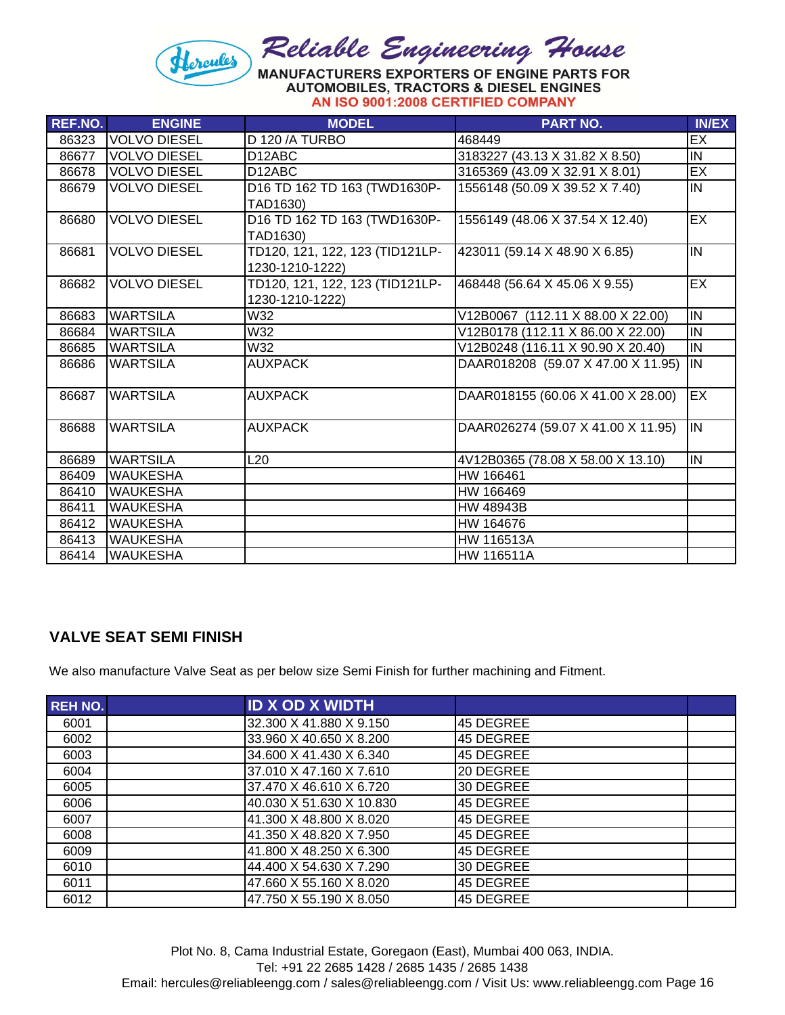

| <b>REF.NO.</b> | <b>ENGINE</b>       | <b>MODEL</b>                    | <b>PART NO.</b>                    | <b>IN/EX</b>    |
|----------------|---------------------|---------------------------------|------------------------------------|-----------------|
| 86323          | <b>VOLVO DIESEL</b> | D 120 / A TURBO                 | 468449                             | $\overline{EX}$ |
| 86677          | <b>VOLVO DIESEL</b> | D <sub>12</sub> ABC             | 3183227 (43.13 X 31.82 X 8.50)     | IN              |
| 86678          | <b>VOLVO DIESEL</b> | D <sub>12</sub> ABC             | 3165369 (43.09 X 32.91 X 8.01)     | EX              |
| 86679          | <b>VOLVO DIESEL</b> | D16 TD 162 TD 163 (TWD1630P-    | 1556148 (50.09 X 39.52 X 7.40)     | İIN             |
|                |                     | TAD1630)                        |                                    |                 |
| 86680          | <b>VOLVO DIESEL</b> | D16 TD 162 TD 163 (TWD1630P-    | 1556149 (48.06 X 37.54 X 12.40)    | EX              |
|                |                     | TAD1630)                        |                                    |                 |
| 86681          | <b>VOLVO DIESEL</b> | TD120, 121, 122, 123 (TID121LP- | 423011 (59.14 X 48.90 X 6.85)      | IN              |
|                |                     | 1230-1210-1222)                 |                                    |                 |
| 86682          | <b>VOLVO DIESEL</b> | TD120, 121, 122, 123 (TID121LP- | 468448 (56.64 X 45.06 X 9.55)      | EX              |
|                |                     | 1230-1210-1222)                 |                                    |                 |
| 86683          | <b>WARTSILA</b>     | W32                             | V12B0067 (112.11 X 88.00 X 22.00)  | IN              |
| 86684          | <b>WARTSILA</b>     | W32                             | V12B0178 (112.11 X 86.00 X 22.00)  | İN              |
| 86685          | <b>WARTSILA</b>     | W32                             | V12B0248 (116.11 X 90.90 X 20.40)  | İN              |
| 86686          | <b>WARTSILA</b>     | <b>AUXPACK</b>                  | DAAR018208 (59.07 X 47.00 X 11.95) | İIN             |
|                |                     |                                 |                                    |                 |
| 86687          | <b>WARTSILA</b>     | <b>AUXPACK</b>                  | DAAR018155 (60.06 X 41.00 X 28.00) | EX              |
|                |                     |                                 |                                    |                 |
| 86688          | <b>WARTSILA</b>     | <b>AUXPACK</b>                  | DAAR026274 (59.07 X 41.00 X 11.95) | IN              |
|                |                     |                                 |                                    |                 |
| 86689          | <b>WARTSILA</b>     | L <sub>20</sub>                 | 4V12B0365 (78.08 X 58.00 X 13.10)  | IN              |
| 86409          | <b>WAUKESHA</b>     |                                 | HW 166461                          |                 |
| 86410          | <b>WAUKESHA</b>     |                                 | HW 166469                          |                 |
| 86411          | <b>WAUKESHA</b>     |                                 | HW 48943B                          |                 |
| 86412          | <b>WAUKESHA</b>     |                                 | HW 164676                          |                 |
| 86413          | <b>WAUKESHA</b>     |                                 | HW 116513A                         |                 |
| 86414          | <b>WAUKESHA</b>     |                                 | HW 116511A                         |                 |

## **VALVE SEAT SEMI FINISH**

We also manufacture Valve Seat as per below size Semi Finish for further machining and Fitment.

| <b>REH NO.</b> | <b>ID X OD X WIDTH</b>   |           |
|----------------|--------------------------|-----------|
| 6001           | 32.300 X 41.880 X 9.150  | 45 DEGREE |
| 6002           | 33.960 X 40.650 X 8.200  | 45 DEGREE |
| 6003           | 34.600 X 41.430 X 6.340  | 45 DEGREE |
| 6004           | 37.010 X 47.160 X 7.610  | 20 DEGREE |
| 6005           | 37.470 X 46.610 X 6.720  | 30 DEGREE |
| 6006           | 40.030 X 51.630 X 10.830 | 45 DEGREE |
| 6007           | 41.300 X 48.800 X 8.020  | 45 DEGREE |
| 6008           | 41.350 X 48.820 X 7.950  | 45 DEGREE |
| 6009           | 41.800 X 48.250 X 6.300  | 45 DEGREE |
| 6010           | 44.400 X 54.630 X 7.290  | 30 DEGREE |
| 6011           | 47.660 X 55.160 X 8.020  | 45 DEGREE |
| 6012           | 47.750 X 55.190 X 8.050  | 45 DEGREE |

Plot No. 8, Cama Industrial Estate, Goregaon (East), Mumbai 400 063, INDIA. Tel: +91 22 2685 1428 / 2685 1435 / 2685 1438 Email: hercules@reliableengg.com / sales@reliableengg.com / Visit Us: www.reliableengg.com Page 16